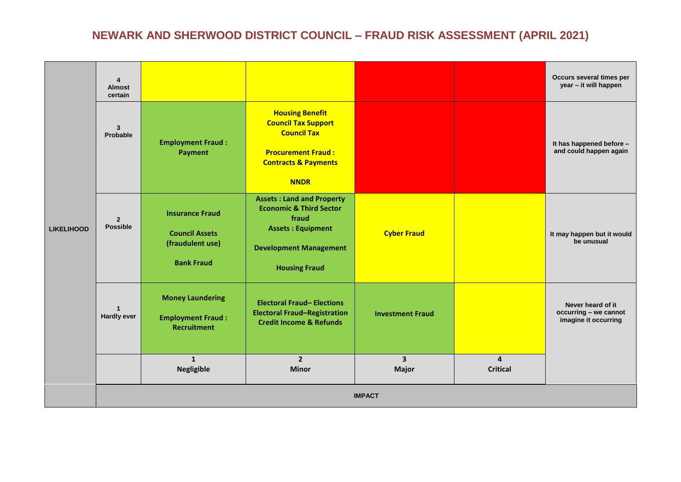|                   | $\overline{4}$<br><b>Almost</b><br>certain |                                                                                           |                                                                                                                                                                      |                                                    |                 | Occurs several times per<br>year - it will happen                  |
|-------------------|--------------------------------------------|-------------------------------------------------------------------------------------------|----------------------------------------------------------------------------------------------------------------------------------------------------------------------|----------------------------------------------------|-----------------|--------------------------------------------------------------------|
|                   | $\mathbf{3}$<br>Probable                   | <b>Employment Fraud:</b><br><b>Payment</b>                                                | <b>Housing Benefit</b><br><b>Council Tax Support</b><br><b>Council Tax</b><br><b>Procurement Fraud:</b><br><b>Contracts &amp; Payments</b><br><b>NNDR</b>            |                                                    |                 | It has happened before -<br>and could happen again                 |
| <b>LIKELIHOOD</b> | $\overline{2}$<br><b>Possible</b>          | <b>Insurance Fraud</b><br><b>Council Assets</b><br>(fraudulent use)<br><b>Bank Fraud</b>  | <b>Assets: Land and Property</b><br><b>Economic &amp; Third Sector</b><br>fraud<br><b>Assets: Equipment</b><br><b>Development Management</b><br><b>Housing Fraud</b> | <b>Cyber Fraud</b>                                 |                 | It may happen but it would<br>be unusual                           |
|                   | $\mathbf{1}$<br><b>Hardly ever</b>         | <b>Money Laundering</b><br><b>Employment Fraud:</b><br><b>Recruitment</b><br>$\mathbf{1}$ | <b>Electoral Fraud-Elections</b><br><b>Electoral Fraud-Registration</b><br><b>Credit Income &amp; Refunds</b><br>$2^{\circ}$                                         | <b>Investment Fraud</b><br>$\overline{\mathbf{3}}$ | $\overline{a}$  | Never heard of it<br>occurring - we cannot<br>imagine it occurring |
|                   |                                            | <b>Negligible</b>                                                                         | <b>Minor</b>                                                                                                                                                         | <b>Major</b>                                       | <b>Critical</b> |                                                                    |
|                   | <b>IMPACT</b>                              |                                                                                           |                                                                                                                                                                      |                                                    |                 |                                                                    |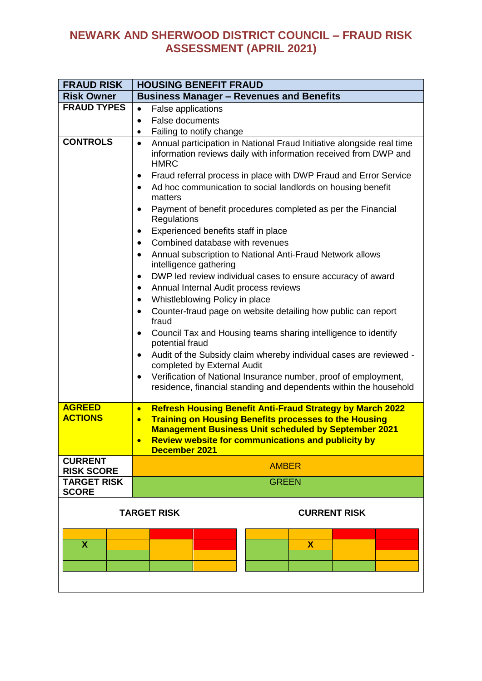| <b>FRAUD RISK</b>                   | <b>HOUSING BENEFIT FRAUD</b>                                                                                                                                                                                                                                                                                                                                                                                                                                                                                                                                                                                                                                                                                                                                                                                                                                                                                                                                                                                                                                                                                                                                                                          |  |  |
|-------------------------------------|-------------------------------------------------------------------------------------------------------------------------------------------------------------------------------------------------------------------------------------------------------------------------------------------------------------------------------------------------------------------------------------------------------------------------------------------------------------------------------------------------------------------------------------------------------------------------------------------------------------------------------------------------------------------------------------------------------------------------------------------------------------------------------------------------------------------------------------------------------------------------------------------------------------------------------------------------------------------------------------------------------------------------------------------------------------------------------------------------------------------------------------------------------------------------------------------------------|--|--|
| <b>Risk Owner</b>                   | <b>Business Manager - Revenues and Benefits</b>                                                                                                                                                                                                                                                                                                                                                                                                                                                                                                                                                                                                                                                                                                                                                                                                                                                                                                                                                                                                                                                                                                                                                       |  |  |
| <b>FRAUD TYPES</b>                  | <b>False applications</b><br>$\bullet$                                                                                                                                                                                                                                                                                                                                                                                                                                                                                                                                                                                                                                                                                                                                                                                                                                                                                                                                                                                                                                                                                                                                                                |  |  |
|                                     | <b>False documents</b><br>$\bullet$                                                                                                                                                                                                                                                                                                                                                                                                                                                                                                                                                                                                                                                                                                                                                                                                                                                                                                                                                                                                                                                                                                                                                                   |  |  |
|                                     | Failing to notify change<br>$\bullet$                                                                                                                                                                                                                                                                                                                                                                                                                                                                                                                                                                                                                                                                                                                                                                                                                                                                                                                                                                                                                                                                                                                                                                 |  |  |
| <b>CONTROLS</b>                     | Annual participation in National Fraud Initiative alongside real time<br>$\bullet$<br>information reviews daily with information received from DWP and<br><b>HMRC</b><br>Fraud referral process in place with DWP Fraud and Error Service<br>$\bullet$<br>Ad hoc communication to social landlords on housing benefit<br>$\bullet$<br>matters<br>Payment of benefit procedures completed as per the Financial<br>$\bullet$<br>Regulations<br>Experienced benefits staff in place<br>$\bullet$<br>Combined database with revenues<br>$\bullet$<br>Annual subscription to National Anti-Fraud Network allows<br>$\bullet$<br>intelligence gathering<br>DWP led review individual cases to ensure accuracy of award<br>$\bullet$<br>Annual Internal Audit process reviews<br>$\bullet$<br>Whistleblowing Policy in place<br>٠<br>Counter-fraud page on website detailing how public can report<br>٠<br>fraud<br>Council Tax and Housing teams sharing intelligence to identify<br>$\bullet$<br>potential fraud<br>Audit of the Subsidy claim whereby individual cases are reviewed -<br>$\bullet$<br>completed by External Audit<br>Verification of National Insurance number, proof of employment,<br>٠ |  |  |
|                                     | residence, financial standing and dependents within the household                                                                                                                                                                                                                                                                                                                                                                                                                                                                                                                                                                                                                                                                                                                                                                                                                                                                                                                                                                                                                                                                                                                                     |  |  |
| <b>AGREED</b><br><b>ACTIONS</b>     | <b>Refresh Housing Benefit Anti-Fraud Strategy by March 2022</b><br>$\bullet$<br><b>Training on Housing Benefits processes to the Housing</b><br>$\bullet$<br><b>Management Business Unit scheduled by September 2021</b><br><b>Review website for communications and publicity by</b><br><b>December 2021</b>                                                                                                                                                                                                                                                                                                                                                                                                                                                                                                                                                                                                                                                                                                                                                                                                                                                                                        |  |  |
| <b>CURRENT</b><br><b>RISK SCORE</b> | <b>AMBER</b>                                                                                                                                                                                                                                                                                                                                                                                                                                                                                                                                                                                                                                                                                                                                                                                                                                                                                                                                                                                                                                                                                                                                                                                          |  |  |
| <b>TARGET RISK</b>                  | <b>GREEN</b>                                                                                                                                                                                                                                                                                                                                                                                                                                                                                                                                                                                                                                                                                                                                                                                                                                                                                                                                                                                                                                                                                                                                                                                          |  |  |
| <b>SCORE</b>                        |                                                                                                                                                                                                                                                                                                                                                                                                                                                                                                                                                                                                                                                                                                                                                                                                                                                                                                                                                                                                                                                                                                                                                                                                       |  |  |
|                                     | <b>CURRENT RISK</b><br><b>TARGET RISK</b>                                                                                                                                                                                                                                                                                                                                                                                                                                                                                                                                                                                                                                                                                                                                                                                                                                                                                                                                                                                                                                                                                                                                                             |  |  |
| <b>X</b>                            | $\mathbf x$                                                                                                                                                                                                                                                                                                                                                                                                                                                                                                                                                                                                                                                                                                                                                                                                                                                                                                                                                                                                                                                                                                                                                                                           |  |  |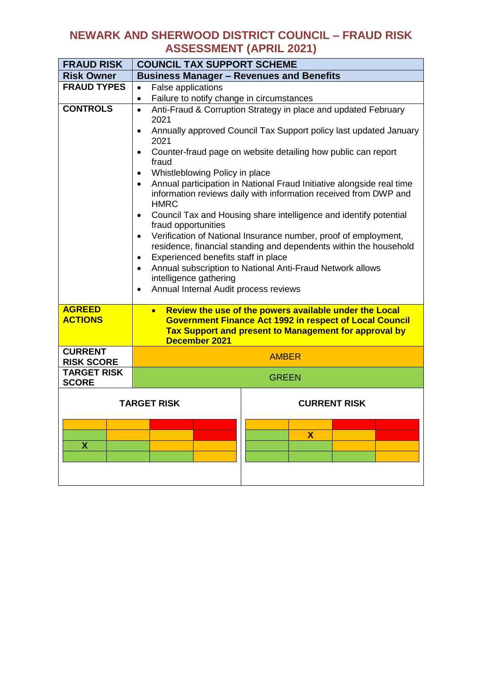| <b>FRAUD RISK</b>                   | <b>COUNCIL TAX SUPPORT SCHEME</b>                                                                                                                                                                                                                                                                                                                                                                                                                                                                                                                                                                                                                                                                                                                                                                                                                                                                                                                                        |  |  |
|-------------------------------------|--------------------------------------------------------------------------------------------------------------------------------------------------------------------------------------------------------------------------------------------------------------------------------------------------------------------------------------------------------------------------------------------------------------------------------------------------------------------------------------------------------------------------------------------------------------------------------------------------------------------------------------------------------------------------------------------------------------------------------------------------------------------------------------------------------------------------------------------------------------------------------------------------------------------------------------------------------------------------|--|--|
| <b>Risk Owner</b>                   | <b>Business Manager - Revenues and Benefits</b>                                                                                                                                                                                                                                                                                                                                                                                                                                                                                                                                                                                                                                                                                                                                                                                                                                                                                                                          |  |  |
| <b>FRAUD TYPES</b>                  | False applications<br>$\bullet$                                                                                                                                                                                                                                                                                                                                                                                                                                                                                                                                                                                                                                                                                                                                                                                                                                                                                                                                          |  |  |
|                                     | Failure to notify change in circumstances<br>$\bullet$                                                                                                                                                                                                                                                                                                                                                                                                                                                                                                                                                                                                                                                                                                                                                                                                                                                                                                                   |  |  |
| <b>CONTROLS</b>                     | Anti-Fraud & Corruption Strategy in place and updated February<br>$\bullet$<br>2021<br>Annually approved Council Tax Support policy last updated January<br>$\bullet$<br>2021<br>Counter-fraud page on website detailing how public can report<br>$\bullet$<br>fraud<br>Whistleblowing Policy in place<br>$\bullet$<br>Annual participation in National Fraud Initiative alongside real time<br>$\bullet$<br>information reviews daily with information received from DWP and<br><b>HMRC</b><br>Council Tax and Housing share intelligence and identify potential<br>$\bullet$<br>fraud opportunities<br>Verification of National Insurance number, proof of employment,<br>$\bullet$<br>residence, financial standing and dependents within the household<br>Experienced benefits staff in place<br>$\bullet$<br>Annual subscription to National Anti-Fraud Network allows<br>$\bullet$<br>intelligence gathering<br>Annual Internal Audit process reviews<br>$\bullet$ |  |  |
| <b>AGREED</b><br><b>ACTIONS</b>     | Review the use of the powers available under the Local<br>$\bullet$<br><b>Government Finance Act 1992 in respect of Local Council</b><br>Tax Support and present to Management for approval by<br>December 2021                                                                                                                                                                                                                                                                                                                                                                                                                                                                                                                                                                                                                                                                                                                                                          |  |  |
| <b>CURRENT</b><br><b>RISK SCORE</b> | <b>AMBER</b>                                                                                                                                                                                                                                                                                                                                                                                                                                                                                                                                                                                                                                                                                                                                                                                                                                                                                                                                                             |  |  |
| <b>TARGET RISK</b><br><b>SCORE</b>  | <b>GREEN</b>                                                                                                                                                                                                                                                                                                                                                                                                                                                                                                                                                                                                                                                                                                                                                                                                                                                                                                                                                             |  |  |
|                                     | TARGET RISK<br><b>CURRENT RISK</b><br>$\boldsymbol{\mathsf{X}}$                                                                                                                                                                                                                                                                                                                                                                                                                                                                                                                                                                                                                                                                                                                                                                                                                                                                                                          |  |  |
| X                                   |                                                                                                                                                                                                                                                                                                                                                                                                                                                                                                                                                                                                                                                                                                                                                                                                                                                                                                                                                                          |  |  |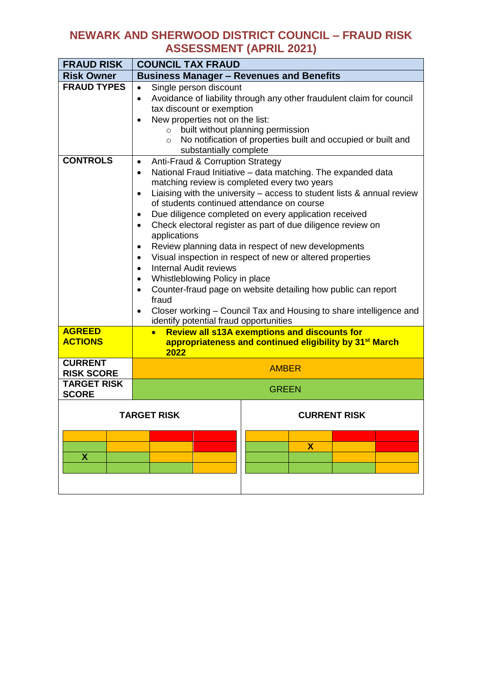| <b>FRAUD RISK</b>                                                                                                                                                                  | <b>COUNCIL TAX FRAUD</b>                                                                                                                                                                                                                                                                                                                                                                                                                                                                                                                                                                                                                                                                                                                                                                                                                                                                                                                 |  |  |
|------------------------------------------------------------------------------------------------------------------------------------------------------------------------------------|------------------------------------------------------------------------------------------------------------------------------------------------------------------------------------------------------------------------------------------------------------------------------------------------------------------------------------------------------------------------------------------------------------------------------------------------------------------------------------------------------------------------------------------------------------------------------------------------------------------------------------------------------------------------------------------------------------------------------------------------------------------------------------------------------------------------------------------------------------------------------------------------------------------------------------------|--|--|
| <b>Risk Owner</b>                                                                                                                                                                  | <b>Business Manager - Revenues and Benefits</b>                                                                                                                                                                                                                                                                                                                                                                                                                                                                                                                                                                                                                                                                                                                                                                                                                                                                                          |  |  |
| <b>FRAUD TYPES</b>                                                                                                                                                                 | Single person discount<br>$\bullet$<br>Avoidance of liability through any other fraudulent claim for council<br>$\bullet$<br>tax discount or exemption<br>New properties not on the list:<br>$\bullet$<br>built without planning permission<br>$\circ$<br>No notification of properties built and occupied or built and<br>$\circ$<br>substantially complete                                                                                                                                                                                                                                                                                                                                                                                                                                                                                                                                                                             |  |  |
| <b>CONTROLS</b>                                                                                                                                                                    | Anti-Fraud & Corruption Strategy<br>$\bullet$<br>National Fraud Initiative - data matching. The expanded data<br>$\bullet$<br>matching review is completed every two years<br>Liaising with the university - access to student lists & annual review<br>$\bullet$<br>of students continued attendance on course<br>Due diligence completed on every application received<br>$\bullet$<br>Check electoral register as part of due diligence review on<br>$\bullet$<br>applications<br>Review planning data in respect of new developments<br>٠<br>Visual inspection in respect of new or altered properties<br>$\bullet$<br><b>Internal Audit reviews</b><br>$\bullet$<br>Whistleblowing Policy in place<br>$\bullet$<br>Counter-fraud page on website detailing how public can report<br>$\bullet$<br>fraud<br>Closer working - Council Tax and Housing to share intelligence and<br>$\bullet$<br>identify potential fraud opportunities |  |  |
| <b>AGREED</b><br><b>Review all s13A exemptions and discounts for</b><br>$\bullet$<br><b>ACTIONS</b><br>appropriateness and continued eligibility by 31 <sup>st</sup> March<br>2022 |                                                                                                                                                                                                                                                                                                                                                                                                                                                                                                                                                                                                                                                                                                                                                                                                                                                                                                                                          |  |  |
| <b>CURRENT</b><br><b>RISK SCORE</b>                                                                                                                                                | <b>AMBER</b>                                                                                                                                                                                                                                                                                                                                                                                                                                                                                                                                                                                                                                                                                                                                                                                                                                                                                                                             |  |  |
| <b>TARGET RISK</b><br><b>SCORE</b>                                                                                                                                                 | <b>GREEN</b>                                                                                                                                                                                                                                                                                                                                                                                                                                                                                                                                                                                                                                                                                                                                                                                                                                                                                                                             |  |  |
| X                                                                                                                                                                                  | TARGET RISK<br><b>CURRENT RISK</b><br>X                                                                                                                                                                                                                                                                                                                                                                                                                                                                                                                                                                                                                                                                                                                                                                                                                                                                                                  |  |  |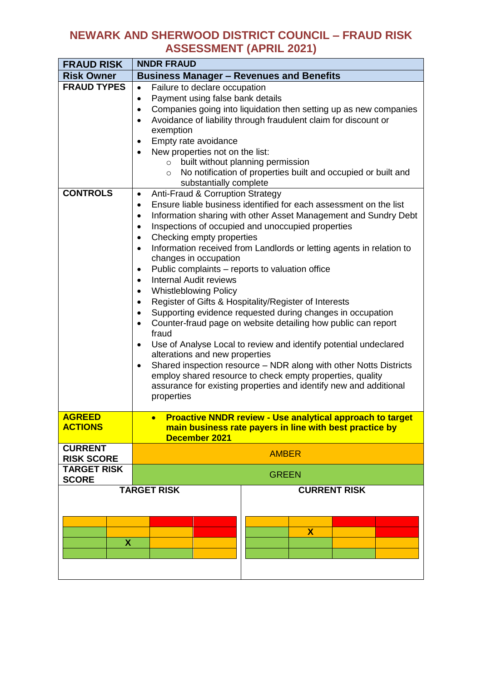| <b>FRAUD RISK</b>                                                                                                                                                                                   | <b>NNDR FRAUD</b>                                                                                                                                                                                                                                                                                                                                                                                                                                                                                                                                                                                                                                                                                                                                                                                                                                                                                                                                                                                                                                                                                                                                                                                                                                                                                                                                                                                                                                                                        |  |  |
|-----------------------------------------------------------------------------------------------------------------------------------------------------------------------------------------------------|------------------------------------------------------------------------------------------------------------------------------------------------------------------------------------------------------------------------------------------------------------------------------------------------------------------------------------------------------------------------------------------------------------------------------------------------------------------------------------------------------------------------------------------------------------------------------------------------------------------------------------------------------------------------------------------------------------------------------------------------------------------------------------------------------------------------------------------------------------------------------------------------------------------------------------------------------------------------------------------------------------------------------------------------------------------------------------------------------------------------------------------------------------------------------------------------------------------------------------------------------------------------------------------------------------------------------------------------------------------------------------------------------------------------------------------------------------------------------------------|--|--|
| <b>Risk Owner</b>                                                                                                                                                                                   | <b>Business Manager - Revenues and Benefits</b>                                                                                                                                                                                                                                                                                                                                                                                                                                                                                                                                                                                                                                                                                                                                                                                                                                                                                                                                                                                                                                                                                                                                                                                                                                                                                                                                                                                                                                          |  |  |
| <b>FRAUD TYPES</b><br><b>CONTROLS</b>                                                                                                                                                               | Failure to declare occupation<br>$\bullet$<br>Payment using false bank details<br>$\bullet$<br>Companies going into liquidation then setting up as new companies<br>$\bullet$<br>Avoidance of liability through fraudulent claim for discount or<br>$\bullet$<br>exemption<br>Empty rate avoidance<br>$\bullet$<br>New properties not on the list:<br>$\bullet$<br>built without planning permission<br>$\circ$<br>No notification of properties built and occupied or built and<br>$\circ$<br>substantially complete<br>Anti-Fraud & Corruption Strategy<br>$\bullet$<br>Ensure liable business identified for each assessment on the list<br>$\bullet$<br>Information sharing with other Asset Management and Sundry Debt<br>$\bullet$<br>Inspections of occupied and unoccupied properties<br>$\bullet$<br>Checking empty properties<br>$\bullet$<br>Information received from Landlords or letting agents in relation to<br>$\bullet$<br>changes in occupation<br>Public complaints - reports to valuation office<br>$\bullet$<br><b>Internal Audit reviews</b><br>$\bullet$<br><b>Whistleblowing Policy</b><br>$\bullet$<br>Register of Gifts & Hospitality/Register of Interests<br>$\bullet$<br>Supporting evidence requested during changes in occupation<br>$\bullet$<br>Counter-fraud page on website detailing how public can report<br>$\bullet$<br>fraud<br>Use of Analyse Local to review and identify potential undeclared<br>$\bullet$<br>alterations and new properties |  |  |
|                                                                                                                                                                                                     | properties                                                                                                                                                                                                                                                                                                                                                                                                                                                                                                                                                                                                                                                                                                                                                                                                                                                                                                                                                                                                                                                                                                                                                                                                                                                                                                                                                                                                                                                                               |  |  |
| <b>AGREED</b><br><b>Proactive NNDR review - Use analytical approach to target</b><br>$\bullet$<br><b>ACTIONS</b><br>main business rate payers in line with best practice by<br><b>December 2021</b> |                                                                                                                                                                                                                                                                                                                                                                                                                                                                                                                                                                                                                                                                                                                                                                                                                                                                                                                                                                                                                                                                                                                                                                                                                                                                                                                                                                                                                                                                                          |  |  |
| <b>CURRENT</b><br><b>RISK SCORE</b>                                                                                                                                                                 | <b>AMBER</b>                                                                                                                                                                                                                                                                                                                                                                                                                                                                                                                                                                                                                                                                                                                                                                                                                                                                                                                                                                                                                                                                                                                                                                                                                                                                                                                                                                                                                                                                             |  |  |
| <b>TARGET RISK</b><br><b>SCORE</b>                                                                                                                                                                  | <b>GREEN</b>                                                                                                                                                                                                                                                                                                                                                                                                                                                                                                                                                                                                                                                                                                                                                                                                                                                                                                                                                                                                                                                                                                                                                                                                                                                                                                                                                                                                                                                                             |  |  |
| X                                                                                                                                                                                                   | <b>TARGET RISK</b><br><b>CURRENT RISK</b><br>$\mathbf x$                                                                                                                                                                                                                                                                                                                                                                                                                                                                                                                                                                                                                                                                                                                                                                                                                                                                                                                                                                                                                                                                                                                                                                                                                                                                                                                                                                                                                                 |  |  |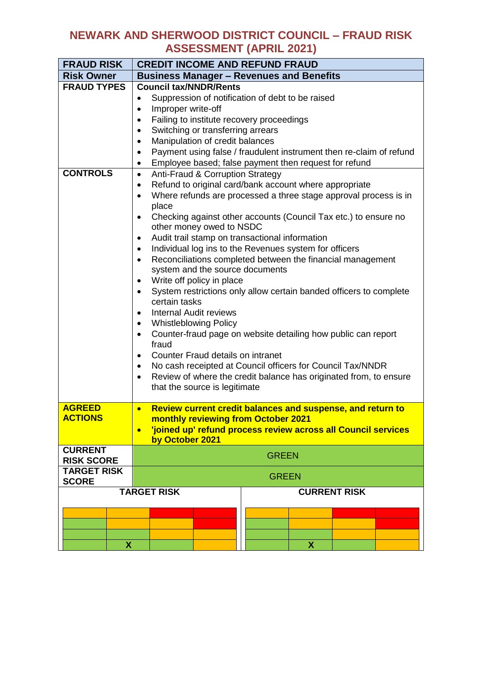| <b>FRAUD RISK</b>               | <b>CREDIT INCOME AND REFUND FRAUD</b>                                                                    |  |  |
|---------------------------------|----------------------------------------------------------------------------------------------------------|--|--|
| <b>Risk Owner</b>               | <b>Business Manager - Revenues and Benefits</b>                                                          |  |  |
| <b>FRAUD TYPES</b>              | <b>Council tax/NNDR/Rents</b>                                                                            |  |  |
|                                 | Suppression of notification of debt to be raised<br>$\bullet$                                            |  |  |
|                                 | Improper write-off<br>$\bullet$                                                                          |  |  |
|                                 | Failing to institute recovery proceedings<br>$\bullet$                                                   |  |  |
|                                 | Switching or transferring arrears<br>$\bullet$                                                           |  |  |
|                                 | Manipulation of credit balances<br>$\bullet$                                                             |  |  |
|                                 | Payment using false / fraudulent instrument then re-claim of refund<br>$\bullet$                         |  |  |
|                                 | Employee based; false payment then request for refund<br>$\bullet$                                       |  |  |
| <b>CONTROLS</b>                 | Anti-Fraud & Corruption Strategy<br>$\bullet$                                                            |  |  |
|                                 | Refund to original card/bank account where appropriate<br>$\bullet$                                      |  |  |
|                                 | Where refunds are processed a three stage approval process is in<br>$\bullet$                            |  |  |
|                                 | place                                                                                                    |  |  |
|                                 | Checking against other accounts (Council Tax etc.) to ensure no<br>$\bullet$<br>other money owed to NSDC |  |  |
|                                 | Audit trail stamp on transactional information<br>$\bullet$                                              |  |  |
|                                 | Individual log ins to the Revenues system for officers<br>$\bullet$                                      |  |  |
|                                 | Reconciliations completed between the financial management<br>$\bullet$                                  |  |  |
|                                 | system and the source documents                                                                          |  |  |
|                                 | Write off policy in place<br>$\bullet$                                                                   |  |  |
|                                 | System restrictions only allow certain banded officers to complete<br>$\bullet$                          |  |  |
|                                 | certain tasks                                                                                            |  |  |
|                                 | <b>Internal Audit reviews</b><br>$\bullet$                                                               |  |  |
|                                 | <b>Whistleblowing Policy</b><br>$\bullet$                                                                |  |  |
|                                 | Counter-fraud page on website detailing how public can report<br>$\bullet$                               |  |  |
|                                 | fraud                                                                                                    |  |  |
|                                 | Counter Fraud details on intranet<br>$\bullet$                                                           |  |  |
|                                 | No cash receipted at Council officers for Council Tax/NNDR<br>$\bullet$                                  |  |  |
|                                 | Review of where the credit balance has originated from, to ensure<br>$\bullet$                           |  |  |
|                                 | that the source is legitimate                                                                            |  |  |
|                                 |                                                                                                          |  |  |
| <b>AGREED</b><br><b>ACTIONS</b> | Review current credit balances and suspense, and return to<br>$\bullet$                                  |  |  |
|                                 | monthly reviewing from October 2021                                                                      |  |  |
|                                 | 'joined up' refund process review across all Council services<br>by October 2021                         |  |  |
| <b>CURRENT</b>                  |                                                                                                          |  |  |
| <b>RISK SCORE</b>               | <b>GREEN</b>                                                                                             |  |  |
| <b>TARGET RISK</b>              |                                                                                                          |  |  |
| <b>SCORE</b>                    | <b>GREEN</b>                                                                                             |  |  |
|                                 | <b>TARGET RISK</b><br><b>CURRENT RISK</b>                                                                |  |  |
|                                 |                                                                                                          |  |  |
|                                 |                                                                                                          |  |  |
|                                 |                                                                                                          |  |  |
|                                 |                                                                                                          |  |  |
|                                 | <b>X</b><br>$\mathbf{X}$                                                                                 |  |  |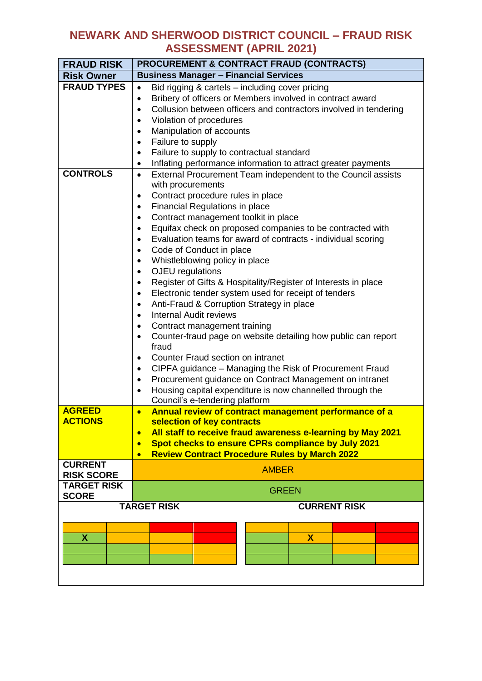| <b>FRAUD RISK</b>               | <b>PROCUREMENT &amp; CONTRACT FRAUD (CONTRACTS)</b>                                                                                         |  |  |
|---------------------------------|---------------------------------------------------------------------------------------------------------------------------------------------|--|--|
| <b>Risk Owner</b>               | <b>Business Manager - Financial Services</b>                                                                                                |  |  |
| <b>FRAUD TYPES</b>              | Bid rigging & cartels - including cover pricing<br>$\bullet$                                                                                |  |  |
|                                 | Bribery of officers or Members involved in contract award<br>$\bullet$                                                                      |  |  |
|                                 | Collusion between officers and contractors involved in tendering<br>$\bullet$                                                               |  |  |
|                                 | Violation of procedures<br>$\bullet$                                                                                                        |  |  |
|                                 | Manipulation of accounts<br>$\bullet$                                                                                                       |  |  |
|                                 | Failure to supply<br>$\bullet$                                                                                                              |  |  |
|                                 | Failure to supply to contractual standard<br>٠                                                                                              |  |  |
|                                 | Inflating performance information to attract greater payments<br>٠                                                                          |  |  |
| <b>CONTROLS</b>                 | External Procurement Team independent to the Council assists<br>$\bullet$                                                                   |  |  |
|                                 | with procurements                                                                                                                           |  |  |
|                                 | Contract procedure rules in place<br>$\bullet$                                                                                              |  |  |
|                                 | Financial Regulations in place<br>٠                                                                                                         |  |  |
|                                 | Contract management toolkit in place<br>$\bullet$                                                                                           |  |  |
|                                 | Equifax check on proposed companies to be contracted with<br>$\bullet$                                                                      |  |  |
|                                 | Evaluation teams for award of contracts - individual scoring<br>$\bullet$                                                                   |  |  |
|                                 | Code of Conduct in place<br>$\bullet$                                                                                                       |  |  |
|                                 | Whistleblowing policy in place<br>$\bullet$                                                                                                 |  |  |
|                                 | OJEU regulations<br>$\bullet$                                                                                                               |  |  |
|                                 | Register of Gifts & Hospitality/Register of Interests in place<br>$\bullet$                                                                 |  |  |
|                                 | Electronic tender system used for receipt of tenders                                                                                        |  |  |
|                                 | Anti-Fraud & Corruption Strategy in place<br>$\bullet$                                                                                      |  |  |
|                                 | <b>Internal Audit reviews</b><br>$\bullet$                                                                                                  |  |  |
|                                 | Contract management training<br>$\bullet$                                                                                                   |  |  |
|                                 | Counter-fraud page on website detailing how public can report<br>$\bullet$                                                                  |  |  |
|                                 | fraud                                                                                                                                       |  |  |
|                                 | Counter Fraud section on intranet<br>٠                                                                                                      |  |  |
|                                 | CIPFA guidance - Managing the Risk of Procurement Fraud<br>$\bullet$                                                                        |  |  |
|                                 | Procurement guidance on Contract Management on intranet<br>$\bullet$                                                                        |  |  |
|                                 | Housing capital expenditure is now channelled through the<br>$\bullet$                                                                      |  |  |
|                                 | Council's e-tendering platform                                                                                                              |  |  |
| <b>AGREED</b><br><b>ACTIONS</b> | Annual review of contract management performance of a<br>$\bullet$                                                                          |  |  |
|                                 | selection of key contracts                                                                                                                  |  |  |
|                                 | All staff to receive fraud awareness e-learning by May 2021<br>$\bullet$<br>Spot checks to ensure CPRs compliance by July 2021<br>$\bullet$ |  |  |
|                                 | <b>Review Contract Procedure Rules by March 2022</b><br>$\bullet$                                                                           |  |  |
| <b>CURRENT</b>                  |                                                                                                                                             |  |  |
| <b>RISK SCORE</b>               | <b>AMBER</b>                                                                                                                                |  |  |
| <b>TARGET RISK</b>              |                                                                                                                                             |  |  |
| <b>SCORE</b>                    | <b>GREEN</b>                                                                                                                                |  |  |
|                                 | <b>TARGET RISK</b><br><b>CURRENT RISK</b>                                                                                                   |  |  |
|                                 |                                                                                                                                             |  |  |
|                                 |                                                                                                                                             |  |  |
| X                               | $\mathbf x$                                                                                                                                 |  |  |
|                                 |                                                                                                                                             |  |  |
|                                 |                                                                                                                                             |  |  |
|                                 |                                                                                                                                             |  |  |
|                                 |                                                                                                                                             |  |  |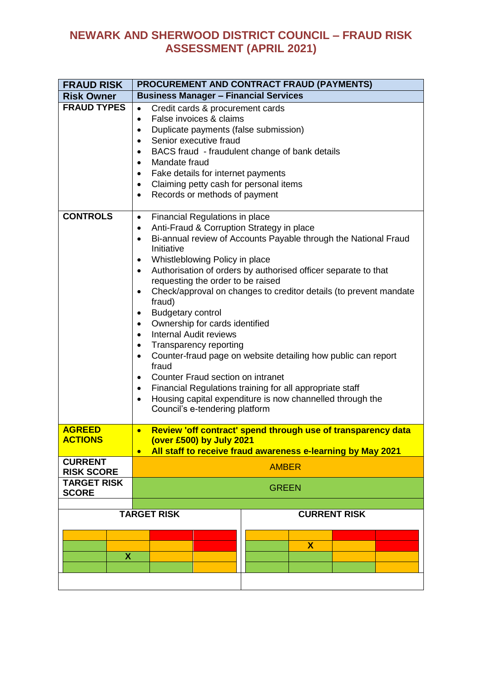| <b>FRAUD RISK</b>                   | PROCUREMENT AND CONTRACT FRAUD (PAYMENTS)                                                                                                                                                                                                                                                                                                                                                                                                                                                                                                                                                                                                                                                                                                                                                                                                                                                                                                                                     |                     |  |
|-------------------------------------|-------------------------------------------------------------------------------------------------------------------------------------------------------------------------------------------------------------------------------------------------------------------------------------------------------------------------------------------------------------------------------------------------------------------------------------------------------------------------------------------------------------------------------------------------------------------------------------------------------------------------------------------------------------------------------------------------------------------------------------------------------------------------------------------------------------------------------------------------------------------------------------------------------------------------------------------------------------------------------|---------------------|--|
| <b>Risk Owner</b>                   | <b>Business Manager - Financial Services</b>                                                                                                                                                                                                                                                                                                                                                                                                                                                                                                                                                                                                                                                                                                                                                                                                                                                                                                                                  |                     |  |
| <b>FRAUD TYPES</b>                  | Credit cards & procurement cards<br>$\bullet$<br>False invoices & claims<br>$\bullet$<br>Duplicate payments (false submission)<br>$\bullet$<br>Senior executive fraud<br>$\bullet$<br>BACS fraud - fraudulent change of bank details<br>$\bullet$<br>Mandate fraud<br>$\bullet$<br>Fake details for internet payments<br>$\bullet$<br>Claiming petty cash for personal items<br>$\bullet$<br>Records or methods of payment<br>$\bullet$                                                                                                                                                                                                                                                                                                                                                                                                                                                                                                                                       |                     |  |
| <b>CONTROLS</b>                     | Financial Regulations in place<br>$\bullet$<br>Anti-Fraud & Corruption Strategy in place<br>$\bullet$<br>Bi-annual review of Accounts Payable through the National Fraud<br>$\bullet$<br>Initiative<br>Whistleblowing Policy in place<br>$\bullet$<br>Authorisation of orders by authorised officer separate to that<br>$\bullet$<br>requesting the order to be raised<br>Check/approval on changes to creditor details (to prevent mandate<br>$\bullet$<br>fraud)<br><b>Budgetary control</b><br>$\bullet$<br>Ownership for cards identified<br>$\bullet$<br><b>Internal Audit reviews</b><br>$\bullet$<br>Transparency reporting<br>$\bullet$<br>Counter-fraud page on website detailing how public can report<br>$\bullet$<br>fraud<br>Counter Fraud section on intranet<br>$\bullet$<br>Financial Regulations training for all appropriate staff<br>$\bullet$<br>Housing capital expenditure is now channelled through the<br>$\bullet$<br>Council's e-tendering platform |                     |  |
| <b>AGREED</b><br><b>ACTIONS</b>     | Review 'off contract' spend through use of transparency data<br>$\bullet$<br>(over £500) by July 2021<br>All staff to receive fraud awareness e-learning by May 2021                                                                                                                                                                                                                                                                                                                                                                                                                                                                                                                                                                                                                                                                                                                                                                                                          |                     |  |
| <b>CURRENT</b><br><b>RISK SCORE</b> | <b>AMBER</b>                                                                                                                                                                                                                                                                                                                                                                                                                                                                                                                                                                                                                                                                                                                                                                                                                                                                                                                                                                  |                     |  |
| <b>TARGET RISK</b><br><b>SCORE</b>  | <b>GREEN</b>                                                                                                                                                                                                                                                                                                                                                                                                                                                                                                                                                                                                                                                                                                                                                                                                                                                                                                                                                                  |                     |  |
|                                     |                                                                                                                                                                                                                                                                                                                                                                                                                                                                                                                                                                                                                                                                                                                                                                                                                                                                                                                                                                               |                     |  |
| <b>TARGET RISK</b>                  |                                                                                                                                                                                                                                                                                                                                                                                                                                                                                                                                                                                                                                                                                                                                                                                                                                                                                                                                                                               | <b>CURRENT RISK</b> |  |
| X                                   |                                                                                                                                                                                                                                                                                                                                                                                                                                                                                                                                                                                                                                                                                                                                                                                                                                                                                                                                                                               | $\mathbf x$         |  |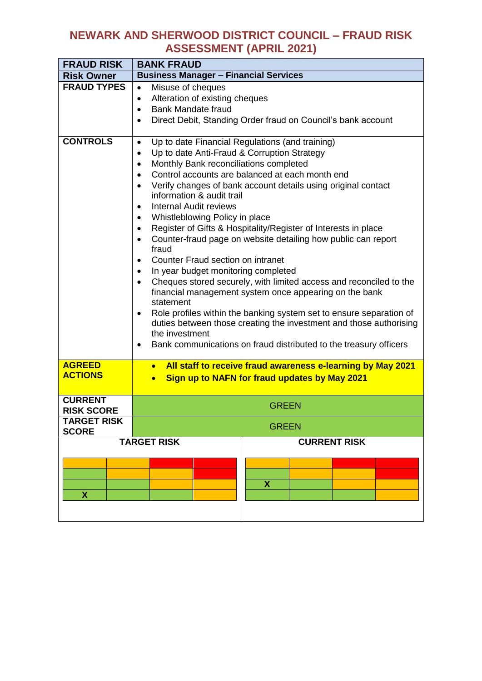| <b>FRAUD RISK</b>                   | <b>BANK FRAUD</b>                                                                                                                                                                                                                                                                                                                                                                                                                                                                                                                                                                                                                                                                                                                                                                                                                                                                                                                                                                                                                                                                                                                 |  |  |
|-------------------------------------|-----------------------------------------------------------------------------------------------------------------------------------------------------------------------------------------------------------------------------------------------------------------------------------------------------------------------------------------------------------------------------------------------------------------------------------------------------------------------------------------------------------------------------------------------------------------------------------------------------------------------------------------------------------------------------------------------------------------------------------------------------------------------------------------------------------------------------------------------------------------------------------------------------------------------------------------------------------------------------------------------------------------------------------------------------------------------------------------------------------------------------------|--|--|
| <b>Risk Owner</b>                   | <b>Business Manager - Financial Services</b>                                                                                                                                                                                                                                                                                                                                                                                                                                                                                                                                                                                                                                                                                                                                                                                                                                                                                                                                                                                                                                                                                      |  |  |
| <b>FRAUD TYPES</b>                  | Misuse of cheques<br>$\bullet$<br>Alteration of existing cheques<br>$\bullet$<br><b>Bank Mandate fraud</b><br>$\bullet$<br>Direct Debit, Standing Order fraud on Council's bank account                                                                                                                                                                                                                                                                                                                                                                                                                                                                                                                                                                                                                                                                                                                                                                                                                                                                                                                                           |  |  |
| <b>CONTROLS</b>                     | Up to date Financial Regulations (and training)<br>$\bullet$<br>Up to date Anti-Fraud & Corruption Strategy<br>$\bullet$<br>Monthly Bank reconciliations completed<br>$\bullet$<br>Control accounts are balanced at each month end<br>$\bullet$<br>Verify changes of bank account details using original contact<br>$\bullet$<br>information & audit trail<br><b>Internal Audit reviews</b><br>$\bullet$<br>Whistleblowing Policy in place<br>Register of Gifts & Hospitality/Register of Interests in place<br>$\bullet$<br>Counter-fraud page on website detailing how public can report<br>$\bullet$<br>fraud<br>Counter Fraud section on intranet<br>$\bullet$<br>In year budget monitoring completed<br>$\bullet$<br>Cheques stored securely, with limited access and reconciled to the<br>$\bullet$<br>financial management system once appearing on the bank<br>statement<br>Role profiles within the banking system set to ensure separation of<br>$\bullet$<br>duties between those creating the investment and those authorising<br>the investment<br>Bank communications on fraud distributed to the treasury officers |  |  |
| <b>AGREED</b><br><b>ACTIONS</b>     | All staff to receive fraud awareness e-learning by May 2021<br>$\bullet$<br>Sign up to NAFN for fraud updates by May 2021<br>$\bullet$                                                                                                                                                                                                                                                                                                                                                                                                                                                                                                                                                                                                                                                                                                                                                                                                                                                                                                                                                                                            |  |  |
| <b>CURRENT</b><br><b>RISK SCORE</b> | <b>GREEN</b>                                                                                                                                                                                                                                                                                                                                                                                                                                                                                                                                                                                                                                                                                                                                                                                                                                                                                                                                                                                                                                                                                                                      |  |  |
| <b>TARGET RISK</b><br><b>SCORE</b>  | <b>GREEN</b>                                                                                                                                                                                                                                                                                                                                                                                                                                                                                                                                                                                                                                                                                                                                                                                                                                                                                                                                                                                                                                                                                                                      |  |  |
|                                     | <b>TARGET RISK</b><br><b>CURRENT RISK</b>                                                                                                                                                                                                                                                                                                                                                                                                                                                                                                                                                                                                                                                                                                                                                                                                                                                                                                                                                                                                                                                                                         |  |  |
| X                                   | X                                                                                                                                                                                                                                                                                                                                                                                                                                                                                                                                                                                                                                                                                                                                                                                                                                                                                                                                                                                                                                                                                                                                 |  |  |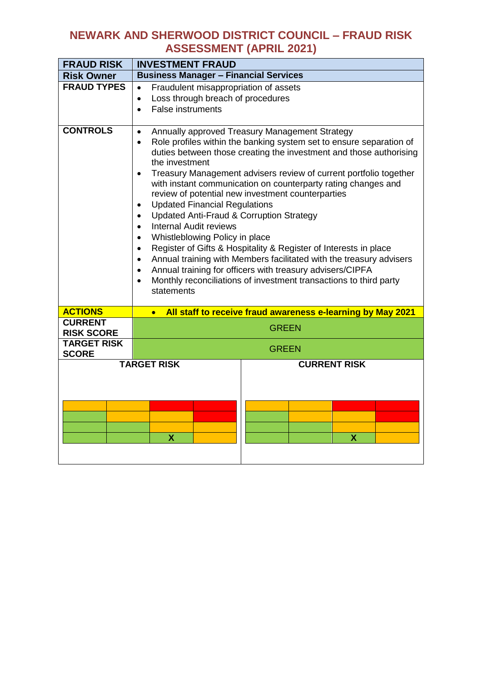| <b>FRAUD RISK</b>                   | <b>INVESTMENT FRAUD</b>                                                                                                                                                                                                                                                                                                                                                                                                                                                                                                                                                                                                                                                                                                                                                                                                                                                                                                                                                                                 |  |  |
|-------------------------------------|---------------------------------------------------------------------------------------------------------------------------------------------------------------------------------------------------------------------------------------------------------------------------------------------------------------------------------------------------------------------------------------------------------------------------------------------------------------------------------------------------------------------------------------------------------------------------------------------------------------------------------------------------------------------------------------------------------------------------------------------------------------------------------------------------------------------------------------------------------------------------------------------------------------------------------------------------------------------------------------------------------|--|--|
| <b>Risk Owner</b>                   | <b>Business Manager - Financial Services</b>                                                                                                                                                                                                                                                                                                                                                                                                                                                                                                                                                                                                                                                                                                                                                                                                                                                                                                                                                            |  |  |
| <b>FRAUD TYPES</b>                  | Fraudulent misappropriation of assets<br>$\bullet$<br>Loss through breach of procedures<br>$\bullet$<br><b>False instruments</b><br>$\bullet$                                                                                                                                                                                                                                                                                                                                                                                                                                                                                                                                                                                                                                                                                                                                                                                                                                                           |  |  |
| <b>CONTROLS</b>                     | Annually approved Treasury Management Strategy<br>$\bullet$<br>Role profiles within the banking system set to ensure separation of<br>$\bullet$<br>duties between those creating the investment and those authorising<br>the investment<br>Treasury Management advisers review of current portfolio together<br>$\bullet$<br>with instant communication on counterparty rating changes and<br>review of potential new investment counterparties<br><b>Updated Financial Regulations</b><br>$\bullet$<br><b>Updated Anti-Fraud &amp; Corruption Strategy</b><br>$\bullet$<br><b>Internal Audit reviews</b><br>$\bullet$<br>Whistleblowing Policy in place<br>Register of Gifts & Hospitality & Register of Interests in place<br>$\bullet$<br>Annual training with Members facilitated with the treasury advisers<br>$\bullet$<br>Annual training for officers with treasury advisers/CIPFA<br>$\bullet$<br>Monthly reconciliations of investment transactions to third party<br>$\bullet$<br>statements |  |  |
| <b>ACTIONS</b>                      | All staff to receive fraud awareness e-learning by May 2021<br>$\bullet$                                                                                                                                                                                                                                                                                                                                                                                                                                                                                                                                                                                                                                                                                                                                                                                                                                                                                                                                |  |  |
| <b>CURRENT</b><br><b>RISK SCORE</b> | <b>GREEN</b>                                                                                                                                                                                                                                                                                                                                                                                                                                                                                                                                                                                                                                                                                                                                                                                                                                                                                                                                                                                            |  |  |
| <b>TARGET RISK</b><br><b>SCORE</b>  | <b>GREEN</b>                                                                                                                                                                                                                                                                                                                                                                                                                                                                                                                                                                                                                                                                                                                                                                                                                                                                                                                                                                                            |  |  |
|                                     | <b>TARGET RISK</b><br><b>CURRENT RISK</b><br>X<br>X                                                                                                                                                                                                                                                                                                                                                                                                                                                                                                                                                                                                                                                                                                                                                                                                                                                                                                                                                     |  |  |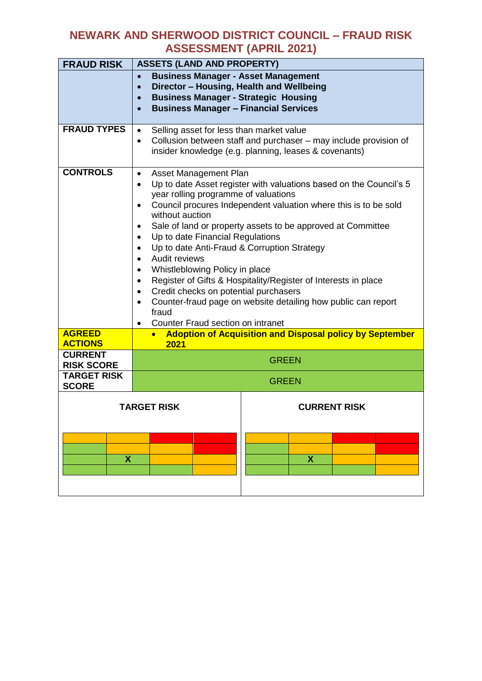| <b>FRAUD RISK</b>                                  | <b>ASSETS (LAND AND PROPERTY)</b>                                                                                                                                                                                                                                                                                                                                                                                                                                                                                                                                                                                                                                                                                                                          |  |  |
|----------------------------------------------------|------------------------------------------------------------------------------------------------------------------------------------------------------------------------------------------------------------------------------------------------------------------------------------------------------------------------------------------------------------------------------------------------------------------------------------------------------------------------------------------------------------------------------------------------------------------------------------------------------------------------------------------------------------------------------------------------------------------------------------------------------------|--|--|
|                                                    | <b>Business Manager - Asset Management</b><br>$\bullet$<br>Director - Housing, Health and Wellbeing<br>$\bullet$<br><b>Business Manager - Strategic Housing</b><br>$\bullet$<br><b>Business Manager - Financial Services</b><br>$\bullet$                                                                                                                                                                                                                                                                                                                                                                                                                                                                                                                  |  |  |
| <b>FRAUD TYPES</b>                                 | Selling asset for less than market value<br>$\bullet$<br>Collusion between staff and purchaser – may include provision of<br>insider knowledge (e.g. planning, leases & covenants)                                                                                                                                                                                                                                                                                                                                                                                                                                                                                                                                                                         |  |  |
| <b>CONTROLS</b>                                    | Asset Management Plan<br>$\bullet$<br>Up to date Asset register with valuations based on the Council's 5<br>$\bullet$<br>year rolling programme of valuations<br>Council procures Independent valuation where this is to be sold<br>$\bullet$<br>without auction<br>Sale of land or property assets to be approved at Committee<br>٠<br>Up to date Financial Regulations<br>$\bullet$<br>Up to date Anti-Fraud & Corruption Strategy<br>$\bullet$<br>Audit reviews<br>$\bullet$<br>Whistleblowing Policy in place<br>$\bullet$<br>Register of Gifts & Hospitality/Register of Interests in place<br>$\bullet$<br>Credit checks on potential purchasers<br>$\bullet$<br>Counter-fraud page on website detailing how public can report<br>$\bullet$<br>fraud |  |  |
| <b>AGREED</b><br><b>ACTIONS</b>                    | Counter Fraud section on intranet<br><b>Adoption of Acquisition and Disposal policy by September</b><br>2021                                                                                                                                                                                                                                                                                                                                                                                                                                                                                                                                                                                                                                               |  |  |
| <b>CURRENT</b><br><b>RISK SCORE</b>                | <b>GREEN</b>                                                                                                                                                                                                                                                                                                                                                                                                                                                                                                                                                                                                                                                                                                                                               |  |  |
| <b>TARGET RISK</b><br><b>GREEN</b><br><b>SCORE</b> |                                                                                                                                                                                                                                                                                                                                                                                                                                                                                                                                                                                                                                                                                                                                                            |  |  |
| X                                                  | <b>TARGET RISK</b><br><b>CURRENT RISK</b><br>$\boldsymbol{\mathsf{X}}$                                                                                                                                                                                                                                                                                                                                                                                                                                                                                                                                                                                                                                                                                     |  |  |
|                                                    |                                                                                                                                                                                                                                                                                                                                                                                                                                                                                                                                                                                                                                                                                                                                                            |  |  |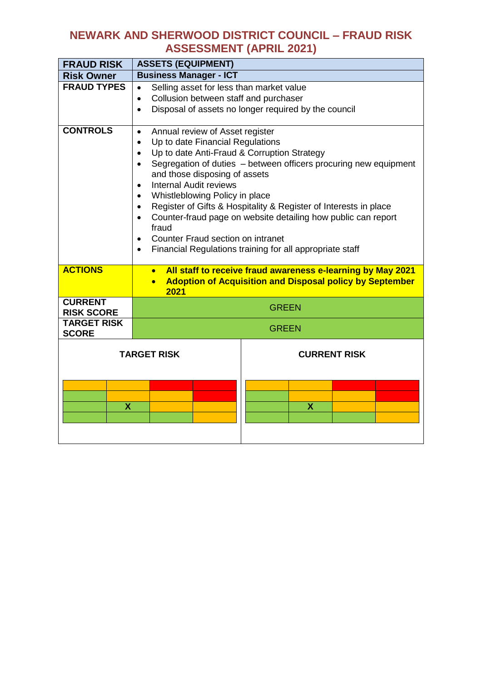| <b>FRAUD RISK</b>                   | <b>ASSETS (EQUIPMENT)</b>                                                                                                                                                                                                                                                                                                                                                                                                                                                                                                                                                                                                                         |  |  |
|-------------------------------------|---------------------------------------------------------------------------------------------------------------------------------------------------------------------------------------------------------------------------------------------------------------------------------------------------------------------------------------------------------------------------------------------------------------------------------------------------------------------------------------------------------------------------------------------------------------------------------------------------------------------------------------------------|--|--|
| <b>Risk Owner</b>                   | <b>Business Manager - ICT</b>                                                                                                                                                                                                                                                                                                                                                                                                                                                                                                                                                                                                                     |  |  |
| <b>FRAUD TYPES</b>                  | Selling asset for less than market value<br>$\bullet$<br>Collusion between staff and purchaser<br>$\bullet$<br>Disposal of assets no longer required by the council<br>$\bullet$                                                                                                                                                                                                                                                                                                                                                                                                                                                                  |  |  |
| <b>CONTROLS</b>                     | Annual review of Asset register<br>$\bullet$<br>Up to date Financial Regulations<br>$\bullet$<br>Up to date Anti-Fraud & Corruption Strategy<br>$\bullet$<br>Segregation of duties - between officers procuring new equipment<br>$\bullet$<br>and those disposing of assets<br><b>Internal Audit reviews</b><br>$\bullet$<br>Whistleblowing Policy in place<br>Register of Gifts & Hospitality & Register of Interests in place<br>$\bullet$<br>Counter-fraud page on website detailing how public can report<br>$\bullet$<br>fraud<br>Counter Fraud section on intranet<br>$\bullet$<br>Financial Regulations training for all appropriate staff |  |  |
| <b>ACTIONS</b>                      | All staff to receive fraud awareness e-learning by May 2021<br>$\bullet$<br><b>Adoption of Acquisition and Disposal policy by September</b><br>$\bullet$<br>2021                                                                                                                                                                                                                                                                                                                                                                                                                                                                                  |  |  |
| <b>CURRENT</b><br><b>RISK SCORE</b> | <b>GREEN</b>                                                                                                                                                                                                                                                                                                                                                                                                                                                                                                                                                                                                                                      |  |  |
| <b>TARGET RISK</b><br><b>SCORE</b>  | <b>GREEN</b>                                                                                                                                                                                                                                                                                                                                                                                                                                                                                                                                                                                                                                      |  |  |
| X                                   | <b>TARGET RISK</b><br><b>CURRENT RISK</b><br>X                                                                                                                                                                                                                                                                                                                                                                                                                                                                                                                                                                                                    |  |  |
|                                     |                                                                                                                                                                                                                                                                                                                                                                                                                                                                                                                                                                                                                                                   |  |  |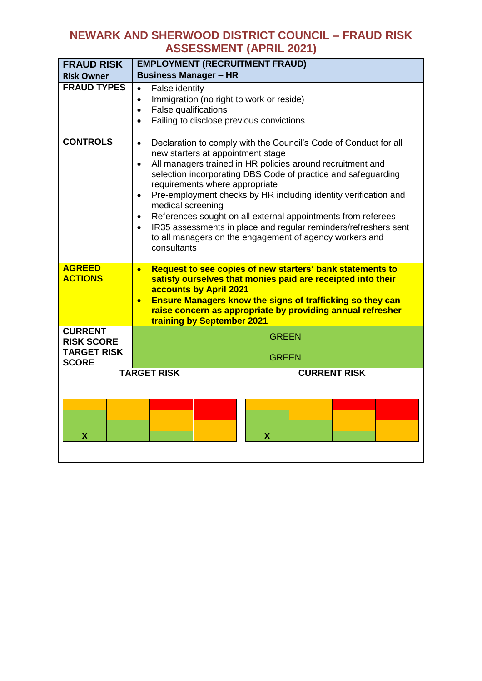| <b>FRAUD RISK</b>                   | <b>EMPLOYMENT (RECRUITMENT FRAUD)</b>                                                                                                                                                                                                                                                                                                                                                                                                                                                                                                                                                                                                        |
|-------------------------------------|----------------------------------------------------------------------------------------------------------------------------------------------------------------------------------------------------------------------------------------------------------------------------------------------------------------------------------------------------------------------------------------------------------------------------------------------------------------------------------------------------------------------------------------------------------------------------------------------------------------------------------------------|
| <b>Risk Owner</b>                   | <b>Business Manager - HR</b>                                                                                                                                                                                                                                                                                                                                                                                                                                                                                                                                                                                                                 |
| <b>FRAUD TYPES</b>                  | False identity<br>$\bullet$<br>Immigration (no right to work or reside)<br>$\bullet$<br><b>False qualifications</b><br>$\bullet$<br>Failing to disclose previous convictions<br>$\bullet$                                                                                                                                                                                                                                                                                                                                                                                                                                                    |
| <b>CONTROLS</b>                     | Declaration to comply with the Council's Code of Conduct for all<br>$\bullet$<br>new starters at appointment stage<br>All managers trained in HR policies around recruitment and<br>$\bullet$<br>selection incorporating DBS Code of practice and safeguarding<br>requirements where appropriate<br>Pre-employment checks by HR including identity verification and<br>$\bullet$<br>medical screening<br>References sought on all external appointments from referees<br>$\bullet$<br>IR35 assessments in place and regular reminders/refreshers sent<br>$\bullet$<br>to all managers on the engagement of agency workers and<br>consultants |
| <b>AGREED</b><br><b>ACTIONS</b>     | Request to see copies of new starters' bank statements to<br>$\bullet$<br>satisfy ourselves that monies paid are receipted into their<br>accounts by April 2021<br><b>Ensure Managers know the signs of trafficking so they can</b><br>$\bullet$<br>raise concern as appropriate by providing annual refresher<br>training by September 2021                                                                                                                                                                                                                                                                                                 |
| <b>CURRENT</b><br><b>RISK SCORE</b> | <b>GREEN</b>                                                                                                                                                                                                                                                                                                                                                                                                                                                                                                                                                                                                                                 |
| <b>TARGET RISK</b><br><b>SCORE</b>  | <b>GREEN</b>                                                                                                                                                                                                                                                                                                                                                                                                                                                                                                                                                                                                                                 |
| X                                   | <b>TARGET RISK</b><br><b>CURRENT RISK</b><br>$\overline{\mathsf{x}}$                                                                                                                                                                                                                                                                                                                                                                                                                                                                                                                                                                         |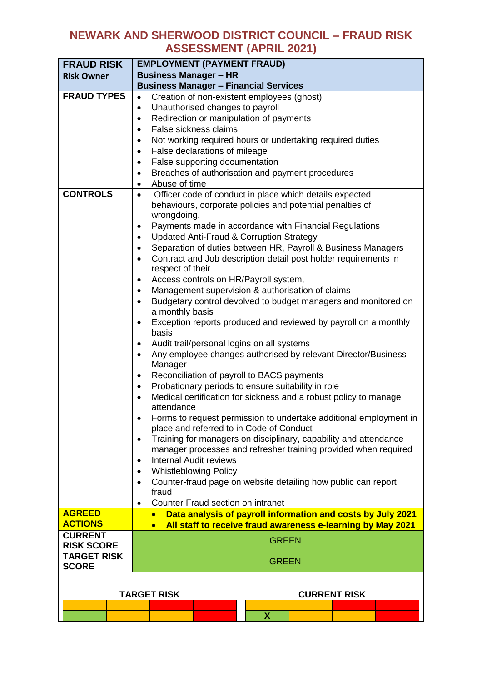| <b>FRAUD RISK</b>                     |                                                                                                                                              | <b>EMPLOYMENT (PAYMENT FRAUD)</b>                                                                                                                                                                                                                                                                                                                                                                                                                                                                                                                                                                                                                                                                                                                                                                                                                                                                                                                                                            |                              |              |  |  |
|---------------------------------------|----------------------------------------------------------------------------------------------------------------------------------------------|----------------------------------------------------------------------------------------------------------------------------------------------------------------------------------------------------------------------------------------------------------------------------------------------------------------------------------------------------------------------------------------------------------------------------------------------------------------------------------------------------------------------------------------------------------------------------------------------------------------------------------------------------------------------------------------------------------------------------------------------------------------------------------------------------------------------------------------------------------------------------------------------------------------------------------------------------------------------------------------------|------------------------------|--------------|--|--|
| <b>Risk Owner</b>                     |                                                                                                                                              |                                                                                                                                                                                                                                                                                                                                                                                                                                                                                                                                                                                                                                                                                                                                                                                                                                                                                                                                                                                              | <b>Business Manager - HR</b> |              |  |  |
|                                       |                                                                                                                                              |                                                                                                                                                                                                                                                                                                                                                                                                                                                                                                                                                                                                                                                                                                                                                                                                                                                                                                                                                                                              |                              |              |  |  |
| <b>FRAUD TYPES</b><br><b>CONTROLS</b> | $\bullet$<br>٠<br>$\bullet$<br>$\bullet$<br>٠<br>$\bullet$<br>$\bullet$<br>٠<br>$\bullet$<br>٠<br>٠<br>٠<br>$\bullet$<br>٠<br>٠<br>$\bullet$ | <b>Business Manager - Financial Services</b><br>Creation of non-existent employees (ghost)<br>Unauthorised changes to payroll<br>Redirection or manipulation of payments<br>False sickness claims<br>Not working required hours or undertaking required duties<br>False declarations of mileage<br>False supporting documentation<br>Breaches of authorisation and payment procedures<br>Abuse of time<br>Officer code of conduct in place which details expected<br>behaviours, corporate policies and potential penalties of<br>wrongdoing.<br>Payments made in accordance with Financial Regulations<br>Updated Anti-Fraud & Corruption Strategy<br>Separation of duties between HR, Payroll & Business Managers<br>Contract and Job description detail post holder requirements in<br>respect of their<br>Access controls on HR/Payroll system,<br>Management supervision & authorisation of claims<br>Budgetary control devolved to budget managers and monitored on<br>a monthly basis |                              |              |  |  |
|                                       | $\bullet$<br>٠<br>$\bullet$<br>$\bullet$<br>$\bullet$<br>$\bullet$<br>$\bullet$<br>$\bullet$                                                 | Exception reports produced and reviewed by payroll on a monthly<br>basis<br>Audit trail/personal logins on all systems<br>Any employee changes authorised by relevant Director/Business<br>Manager<br>Reconciliation of payroll to BACS payments<br>Probationary periods to ensure suitability in role<br>Medical certification for sickness and a robust policy to manage<br>attendance<br>Forms to request permission to undertake additional employment in<br>place and referred to in Code of Conduct<br>Training for managers on disciplinary, capability and attendance<br>manager processes and refresher training provided when required<br><b>Internal Audit reviews</b><br><b>Whistleblowing Policy</b><br>Counter-fraud page on website detailing how public can report<br>fraud<br>Counter Fraud section on intranet                                                                                                                                                             |                              |              |  |  |
| <b>AGREED</b>                         |                                                                                                                                              | Data analysis of payroll information and costs by July 2021<br>$\bullet$                                                                                                                                                                                                                                                                                                                                                                                                                                                                                                                                                                                                                                                                                                                                                                                                                                                                                                                     |                              |              |  |  |
| <b>ACTIONS</b>                        |                                                                                                                                              | All staff to receive fraud awareness e-learning by May 2021<br>$\bullet$                                                                                                                                                                                                                                                                                                                                                                                                                                                                                                                                                                                                                                                                                                                                                                                                                                                                                                                     |                              |              |  |  |
| <b>CURRENT</b><br><b>RISK SCORE</b>   |                                                                                                                                              | <b>GREEN</b>                                                                                                                                                                                                                                                                                                                                                                                                                                                                                                                                                                                                                                                                                                                                                                                                                                                                                                                                                                                 |                              |              |  |  |
| <b>TARGET RISK</b><br><b>SCORE</b>    |                                                                                                                                              |                                                                                                                                                                                                                                                                                                                                                                                                                                                                                                                                                                                                                                                                                                                                                                                                                                                                                                                                                                                              |                              | <b>GREEN</b> |  |  |
|                                       |                                                                                                                                              |                                                                                                                                                                                                                                                                                                                                                                                                                                                                                                                                                                                                                                                                                                                                                                                                                                                                                                                                                                                              |                              |              |  |  |
|                                       |                                                                                                                                              | <b>TARGET RISK</b><br><b>CURRENT RISK</b>                                                                                                                                                                                                                                                                                                                                                                                                                                                                                                                                                                                                                                                                                                                                                                                                                                                                                                                                                    |                              |              |  |  |
|                                       |                                                                                                                                              |                                                                                                                                                                                                                                                                                                                                                                                                                                                                                                                                                                                                                                                                                                                                                                                                                                                                                                                                                                                              |                              |              |  |  |
|                                       |                                                                                                                                              |                                                                                                                                                                                                                                                                                                                                                                                                                                                                                                                                                                                                                                                                                                                                                                                                                                                                                                                                                                                              |                              | X            |  |  |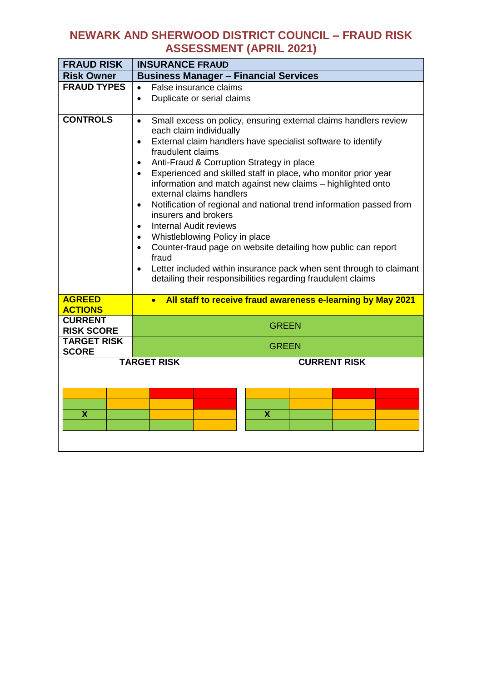| <b>FRAUD RISK</b>                   | <b>INSURANCE FRAUD</b>                                                                                                                                                                                                                                                                                                                                                                                                                                                                                                                                                                                                                                                                                                                                                                                                                                                                             |  |  |
|-------------------------------------|----------------------------------------------------------------------------------------------------------------------------------------------------------------------------------------------------------------------------------------------------------------------------------------------------------------------------------------------------------------------------------------------------------------------------------------------------------------------------------------------------------------------------------------------------------------------------------------------------------------------------------------------------------------------------------------------------------------------------------------------------------------------------------------------------------------------------------------------------------------------------------------------------|--|--|
| <b>Risk Owner</b>                   | <b>Business Manager - Financial Services</b>                                                                                                                                                                                                                                                                                                                                                                                                                                                                                                                                                                                                                                                                                                                                                                                                                                                       |  |  |
| <b>FRAUD TYPES</b>                  | False insurance claims<br>$\bullet$<br>Duplicate or serial claims<br>$\bullet$                                                                                                                                                                                                                                                                                                                                                                                                                                                                                                                                                                                                                                                                                                                                                                                                                     |  |  |
| <b>CONTROLS</b>                     | Small excess on policy, ensuring external claims handlers review<br>$\bullet$<br>each claim individually<br>External claim handlers have specialist software to identify<br>$\bullet$<br>fraudulent claims<br>Anti-Fraud & Corruption Strategy in place<br>$\bullet$<br>Experienced and skilled staff in place, who monitor prior year<br>$\bullet$<br>information and match against new claims - highlighted onto<br>external claims handlers<br>Notification of regional and national trend information passed from<br>$\bullet$<br>insurers and brokers<br><b>Internal Audit reviews</b><br>$\bullet$<br>Whistleblowing Policy in place<br>$\bullet$<br>Counter-fraud page on website detailing how public can report<br>$\bullet$<br>fraud<br>Letter included within insurance pack when sent through to claimant<br>$\bullet$<br>detailing their responsibilities regarding fraudulent claims |  |  |
| <b>AGREED</b><br><b>ACTIONS</b>     | All staff to receive fraud awareness e-learning by May 2021<br>$\bullet$                                                                                                                                                                                                                                                                                                                                                                                                                                                                                                                                                                                                                                                                                                                                                                                                                           |  |  |
| <b>CURRENT</b><br><b>RISK SCORE</b> | <b>GREEN</b>                                                                                                                                                                                                                                                                                                                                                                                                                                                                                                                                                                                                                                                                                                                                                                                                                                                                                       |  |  |
| <b>TARGET RISK</b><br><b>SCORE</b>  | <b>GREEN</b>                                                                                                                                                                                                                                                                                                                                                                                                                                                                                                                                                                                                                                                                                                                                                                                                                                                                                       |  |  |
| X                                   | <b>TARGET RISK</b><br><b>CURRENT RISK</b><br>$\overline{\mathbf{X}}$                                                                                                                                                                                                                                                                                                                                                                                                                                                                                                                                                                                                                                                                                                                                                                                                                               |  |  |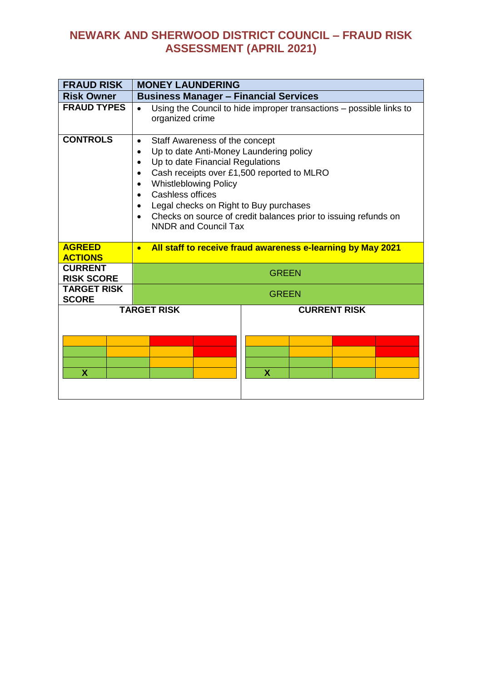| <b>FRAUD RISK</b>                   | <b>MONEY LAUNDERING</b>                                                                                                                                                                                                                                                                                                                                                                                                                                |
|-------------------------------------|--------------------------------------------------------------------------------------------------------------------------------------------------------------------------------------------------------------------------------------------------------------------------------------------------------------------------------------------------------------------------------------------------------------------------------------------------------|
| <b>Risk Owner</b>                   | <b>Business Manager - Financial Services</b>                                                                                                                                                                                                                                                                                                                                                                                                           |
| <b>FRAUD TYPES</b>                  | Using the Council to hide improper transactions - possible links to<br>organized crime                                                                                                                                                                                                                                                                                                                                                                 |
| <b>CONTROLS</b>                     | Staff Awareness of the concept<br>$\bullet$<br>Up to date Anti-Money Laundering policy<br>$\bullet$<br>Up to date Financial Regulations<br>$\bullet$<br>Cash receipts over £1,500 reported to MLRO<br>$\bullet$<br><b>Whistleblowing Policy</b><br>$\bullet$<br>Cashless offices<br>$\bullet$<br>Legal checks on Right to Buy purchases<br>Checks on source of credit balances prior to issuing refunds on<br>$\bullet$<br><b>NNDR and Council Tax</b> |
| <b>AGREED</b><br><b>ACTIONS</b>     | All staff to receive fraud awareness e-learning by May 2021<br>$\bullet$                                                                                                                                                                                                                                                                                                                                                                               |
| <b>CURRENT</b><br><b>RISK SCORE</b> | <b>GREEN</b>                                                                                                                                                                                                                                                                                                                                                                                                                                           |
| <b>TARGET RISK</b><br><b>SCORE</b>  | <b>GREEN</b>                                                                                                                                                                                                                                                                                                                                                                                                                                           |
| <b>X</b>                            | <b>TARGET RISK</b><br><b>CURRENT RISK</b><br>X                                                                                                                                                                                                                                                                                                                                                                                                         |
|                                     |                                                                                                                                                                                                                                                                                                                                                                                                                                                        |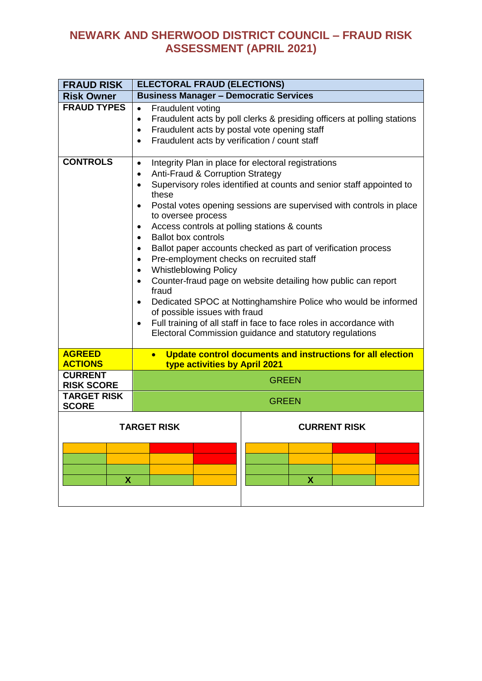| <b>FRAUD RISK</b>                       | <b>ELECTORAL FRAUD (ELECTIONS)</b>                                                                                                                                                                                                                                                                                                                                                                                                                                                                                                                                                                                                                                                                                                                                                                                                                                                                                                                                          |                                                                         |  |
|-----------------------------------------|-----------------------------------------------------------------------------------------------------------------------------------------------------------------------------------------------------------------------------------------------------------------------------------------------------------------------------------------------------------------------------------------------------------------------------------------------------------------------------------------------------------------------------------------------------------------------------------------------------------------------------------------------------------------------------------------------------------------------------------------------------------------------------------------------------------------------------------------------------------------------------------------------------------------------------------------------------------------------------|-------------------------------------------------------------------------|--|
| <b>Risk Owner</b>                       | <b>Business Manager - Democratic Services</b>                                                                                                                                                                                                                                                                                                                                                                                                                                                                                                                                                                                                                                                                                                                                                                                                                                                                                                                               |                                                                         |  |
| <b>FRAUD TYPES</b>                      | Fraudulent voting<br>$\bullet$<br>$\bullet$<br>Fraudulent acts by postal vote opening staff<br>$\bullet$<br>Fraudulent acts by verification / count staff<br>$\bullet$                                                                                                                                                                                                                                                                                                                                                                                                                                                                                                                                                                                                                                                                                                                                                                                                      | Fraudulent acts by poll clerks & presiding officers at polling stations |  |
| <b>CONTROLS</b>                         | Integrity Plan in place for electoral registrations<br>$\bullet$<br>Anti-Fraud & Corruption Strategy<br>$\bullet$<br>Supervisory roles identified at counts and senior staff appointed to<br>$\bullet$<br>these<br>Postal votes opening sessions are supervised with controls in place<br>$\bullet$<br>to oversee process<br>Access controls at polling stations & counts<br>$\bullet$<br><b>Ballot box controls</b><br>$\bullet$<br>Ballot paper accounts checked as part of verification process<br>$\bullet$<br>Pre-employment checks on recruited staff<br>$\bullet$<br><b>Whistleblowing Policy</b><br>$\bullet$<br>Counter-fraud page on website detailing how public can report<br>$\bullet$<br>fraud<br>Dedicated SPOC at Nottinghamshire Police who would be informed<br>$\bullet$<br>of possible issues with fraud<br>Full training of all staff in face to face roles in accordance with<br>$\bullet$<br>Electoral Commission guidance and statutory regulations |                                                                         |  |
| <b>AGREED</b><br><b>ACTIONS</b>         | $\bullet$<br>type activities by April 2021                                                                                                                                                                                                                                                                                                                                                                                                                                                                                                                                                                                                                                                                                                                                                                                                                                                                                                                                  | Update control documents and instructions for all election              |  |
| <b>CURRENT</b>                          |                                                                                                                                                                                                                                                                                                                                                                                                                                                                                                                                                                                                                                                                                                                                                                                                                                                                                                                                                                             | <b>GREEN</b>                                                            |  |
| <b>RISK SCORE</b><br><b>TARGET RISK</b> |                                                                                                                                                                                                                                                                                                                                                                                                                                                                                                                                                                                                                                                                                                                                                                                                                                                                                                                                                                             |                                                                         |  |
| <b>SCORE</b>                            |                                                                                                                                                                                                                                                                                                                                                                                                                                                                                                                                                                                                                                                                                                                                                                                                                                                                                                                                                                             | <b>GREEN</b>                                                            |  |
| X                                       | <b>TARGET RISK</b>                                                                                                                                                                                                                                                                                                                                                                                                                                                                                                                                                                                                                                                                                                                                                                                                                                                                                                                                                          | <b>CURRENT RISK</b><br>X                                                |  |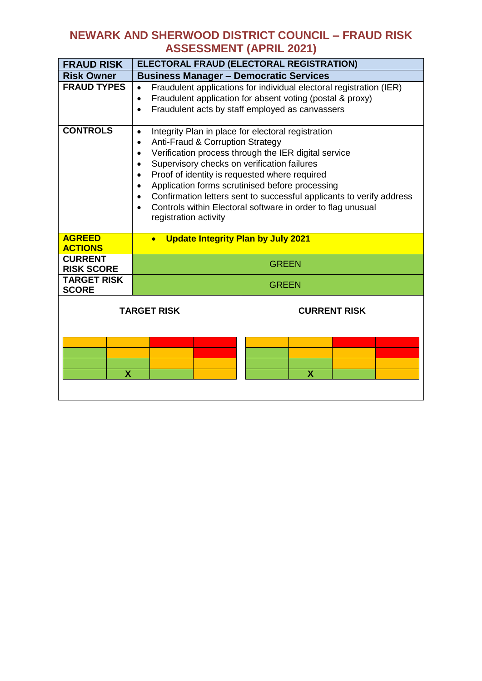| <b>FRAUD RISK</b>                   |                                                                                                                                                                                                                                                                                                                                                                                                                                                                                                                                                                           | ELECTORAL FRAUD (ELECTORAL REGISTRATION) |  |
|-------------------------------------|---------------------------------------------------------------------------------------------------------------------------------------------------------------------------------------------------------------------------------------------------------------------------------------------------------------------------------------------------------------------------------------------------------------------------------------------------------------------------------------------------------------------------------------------------------------------------|------------------------------------------|--|
| <b>Risk Owner</b>                   | <b>Business Manager - Democratic Services</b>                                                                                                                                                                                                                                                                                                                                                                                                                                                                                                                             |                                          |  |
| <b>FRAUD TYPES</b>                  | Fraudulent applications for individual electoral registration (IER)<br>$\bullet$<br>Fraudulent application for absent voting (postal & proxy)<br>$\bullet$<br>Fraudulent acts by staff employed as canvassers<br>$\bullet$                                                                                                                                                                                                                                                                                                                                                |                                          |  |
| <b>CONTROLS</b>                     | Integrity Plan in place for electoral registration<br>$\bullet$<br>Anti-Fraud & Corruption Strategy<br>$\bullet$<br>Verification process through the IER digital service<br>$\bullet$<br>Supervisory checks on verification failures<br>$\bullet$<br>Proof of identity is requested where required<br>$\bullet$<br>Application forms scrutinised before processing<br>$\bullet$<br>Confirmation letters sent to successful applicants to verify address<br>$\bullet$<br>Controls within Electoral software in order to flag unusual<br>$\bullet$<br>registration activity |                                          |  |
| <b>AGREED</b><br><b>ACTIONS</b>     | <b>Update Integrity Plan by July 2021</b>                                                                                                                                                                                                                                                                                                                                                                                                                                                                                                                                 |                                          |  |
| <b>CURRENT</b><br><b>RISK SCORE</b> |                                                                                                                                                                                                                                                                                                                                                                                                                                                                                                                                                                           | <b>GREEN</b>                             |  |
| <b>TARGET RISK</b><br><b>SCORE</b>  |                                                                                                                                                                                                                                                                                                                                                                                                                                                                                                                                                                           | <b>GREEN</b>                             |  |
|                                     | <b>TARGET RISK</b>                                                                                                                                                                                                                                                                                                                                                                                                                                                                                                                                                        | <b>CURRENT RISK</b>                      |  |
| X                                   |                                                                                                                                                                                                                                                                                                                                                                                                                                                                                                                                                                           | X                                        |  |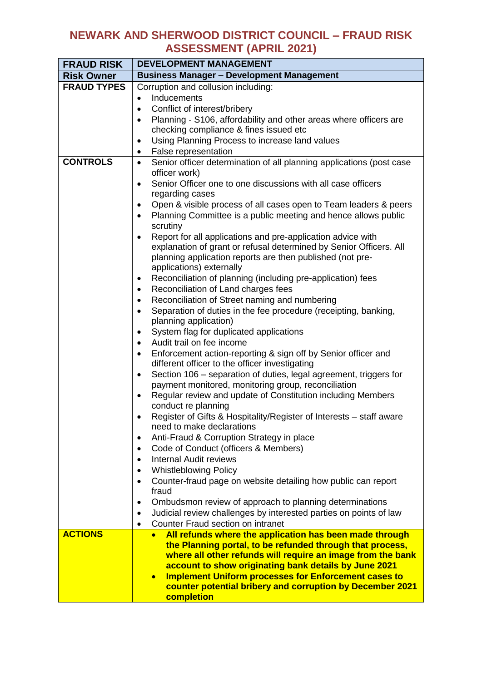| <b>FRAUD RISK</b>  | <b>DEVELOPMENT MANAGEMENT</b>                                                                                                |  |  |  |  |
|--------------------|------------------------------------------------------------------------------------------------------------------------------|--|--|--|--|
| <b>Risk Owner</b>  | <b>Business Manager - Development Management</b>                                                                             |  |  |  |  |
| <b>FRAUD TYPES</b> | Corruption and collusion including:                                                                                          |  |  |  |  |
|                    | Inducements<br>$\bullet$                                                                                                     |  |  |  |  |
|                    | Conflict of interest/bribery                                                                                                 |  |  |  |  |
|                    | Planning - S106, affordability and other areas where officers are<br>$\bullet$                                               |  |  |  |  |
|                    | checking compliance & fines issued etc                                                                                       |  |  |  |  |
|                    | Using Planning Process to increase land values<br>$\bullet$                                                                  |  |  |  |  |
|                    | False representation<br>$\bullet$                                                                                            |  |  |  |  |
| <b>CONTROLS</b>    | Senior officer determination of all planning applications (post case<br>$\bullet$<br>officer work)                           |  |  |  |  |
|                    | Senior Officer one to one discussions with all case officers<br>$\bullet$                                                    |  |  |  |  |
|                    | regarding cases                                                                                                              |  |  |  |  |
|                    | Open & visible process of all cases open to Team leaders & peers<br>$\bullet$                                                |  |  |  |  |
|                    | Planning Committee is a public meeting and hence allows public<br>$\bullet$<br>scrutiny                                      |  |  |  |  |
|                    | Report for all applications and pre-application advice with<br>$\bullet$                                                     |  |  |  |  |
|                    | explanation of grant or refusal determined by Senior Officers. All                                                           |  |  |  |  |
|                    | planning application reports are then published (not pre-<br>applications) externally                                        |  |  |  |  |
|                    | Reconciliation of planning (including pre-application) fees<br>$\bullet$                                                     |  |  |  |  |
|                    | Reconciliation of Land charges fees<br>$\bullet$                                                                             |  |  |  |  |
|                    | Reconciliation of Street naming and numbering<br>$\bullet$                                                                   |  |  |  |  |
|                    | Separation of duties in the fee procedure (receipting, banking,<br>$\bullet$                                                 |  |  |  |  |
|                    | planning application)                                                                                                        |  |  |  |  |
|                    | System flag for duplicated applications<br>$\bullet$                                                                         |  |  |  |  |
|                    | Audit trail on fee income<br>$\bullet$                                                                                       |  |  |  |  |
|                    | Enforcement action-reporting & sign off by Senior officer and<br>$\bullet$<br>different officer to the officer investigating |  |  |  |  |
|                    | Section 106 - separation of duties, legal agreement, triggers for<br>$\bullet$                                               |  |  |  |  |
|                    | payment monitored, monitoring group, reconciliation                                                                          |  |  |  |  |
|                    | Regular review and update of Constitution including Members<br>$\bullet$                                                     |  |  |  |  |
|                    | conduct re planning                                                                                                          |  |  |  |  |
|                    | Register of Gifts & Hospitality/Register of Interests – staff aware<br>need to make declarations                             |  |  |  |  |
|                    | Anti-Fraud & Corruption Strategy in place<br>$\bullet$                                                                       |  |  |  |  |
|                    | Code of Conduct (officers & Members)<br>$\bullet$                                                                            |  |  |  |  |
|                    | <b>Internal Audit reviews</b><br>$\bullet$                                                                                   |  |  |  |  |
|                    | <b>Whistleblowing Policy</b><br>$\bullet$                                                                                    |  |  |  |  |
|                    | Counter-fraud page on website detailing how public can report<br>$\bullet$<br>fraud                                          |  |  |  |  |
|                    | Ombudsmon review of approach to planning determinations<br>$\bullet$                                                         |  |  |  |  |
|                    | Judicial review challenges by interested parties on points of law<br>$\bullet$                                               |  |  |  |  |
|                    | Counter Fraud section on intranet<br>$\bullet$                                                                               |  |  |  |  |
| <b>ACTIONS</b>     | All refunds where the application has been made through                                                                      |  |  |  |  |
|                    | the Planning portal, to be refunded through that process,                                                                    |  |  |  |  |
|                    | where all other refunds will require an image from the bank                                                                  |  |  |  |  |
|                    | account to show originating bank details by June 2021                                                                        |  |  |  |  |
|                    | <b>Implement Uniform processes for Enforcement cases to</b><br>$\bullet$                                                     |  |  |  |  |
|                    | counter potential bribery and corruption by December 2021<br>completion                                                      |  |  |  |  |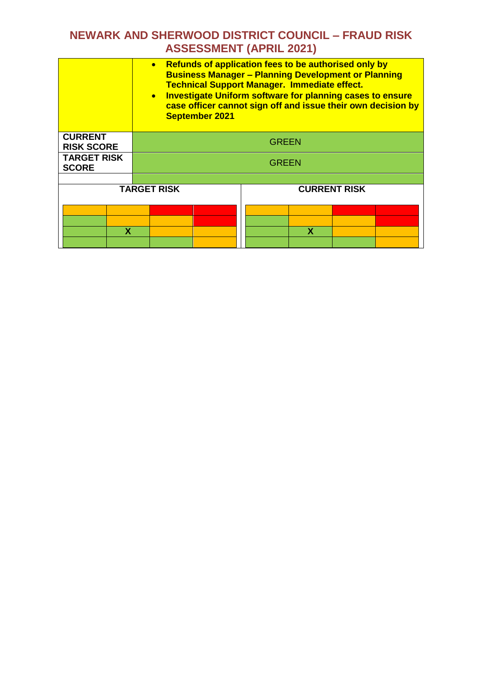|                                     | $\bullet$<br><b>September 2021</b> | • Refunds of application fees to be authorised only by<br><b>Business Manager - Planning Development or Planning</b><br><b>Technical Support Manager. Immediate effect.</b><br><b>Investigate Uniform software for planning cases to ensure</b><br>case officer cannot sign off and issue their own decision by |  |
|-------------------------------------|------------------------------------|-----------------------------------------------------------------------------------------------------------------------------------------------------------------------------------------------------------------------------------------------------------------------------------------------------------------|--|
| <b>CURRENT</b><br><b>RISK SCORE</b> | GREEN                              |                                                                                                                                                                                                                                                                                                                 |  |
| <b>TARGET RISK</b><br><b>SCORE</b>  | GREEN                              |                                                                                                                                                                                                                                                                                                                 |  |
|                                     |                                    |                                                                                                                                                                                                                                                                                                                 |  |
|                                     | <b>TARGET RISK</b>                 | <b>CURRENT RISK</b>                                                                                                                                                                                                                                                                                             |  |
| х                                   |                                    | x                                                                                                                                                                                                                                                                                                               |  |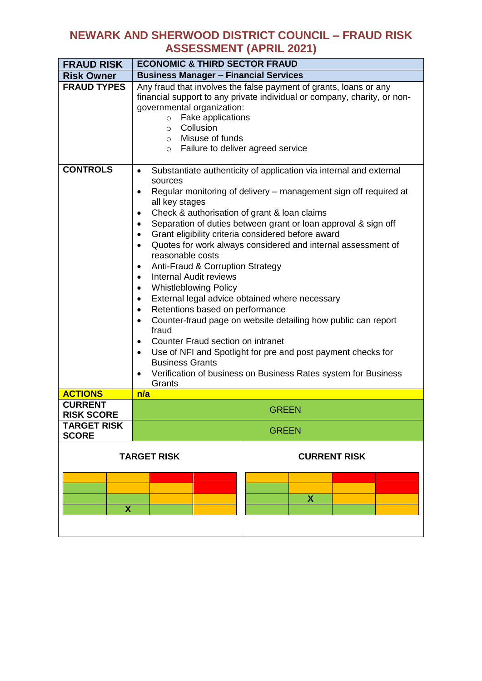| <b>FRAUD RISK</b>                   | <b>ECONOMIC &amp; THIRD SECTOR FRAUD</b>                                                                                                                                                                                                                                                                                                                                                                                                                                                                                                                                                                                                                                                                                                                                                                                                                                                                                                                                                                                                                                                                   |                          |  |  |
|-------------------------------------|------------------------------------------------------------------------------------------------------------------------------------------------------------------------------------------------------------------------------------------------------------------------------------------------------------------------------------------------------------------------------------------------------------------------------------------------------------------------------------------------------------------------------------------------------------------------------------------------------------------------------------------------------------------------------------------------------------------------------------------------------------------------------------------------------------------------------------------------------------------------------------------------------------------------------------------------------------------------------------------------------------------------------------------------------------------------------------------------------------|--------------------------|--|--|
| <b>Risk Owner</b>                   | <b>Business Manager - Financial Services</b>                                                                                                                                                                                                                                                                                                                                                                                                                                                                                                                                                                                                                                                                                                                                                                                                                                                                                                                                                                                                                                                               |                          |  |  |
| <b>FRAUD TYPES</b>                  | Any fraud that involves the false payment of grants, loans or any<br>financial support to any private individual or company, charity, or non-<br>governmental organization:<br>Fake applications<br>$\circ$<br>Collusion<br>$\circ$<br>o Misuse of funds<br>Failure to deliver agreed service<br>$\circ$                                                                                                                                                                                                                                                                                                                                                                                                                                                                                                                                                                                                                                                                                                                                                                                                   |                          |  |  |
| <b>CONTROLS</b>                     | Substantiate authenticity of application via internal and external<br>$\bullet$<br>sources<br>Regular monitoring of delivery – management sign off required at<br>$\bullet$<br>all key stages<br>Check & authorisation of grant & loan claims<br>$\bullet$<br>Separation of duties between grant or loan approval & sign off<br>$\bullet$<br>Grant eligibility criteria considered before award<br>$\bullet$<br>Quotes for work always considered and internal assessment of<br>$\bullet$<br>reasonable costs<br>Anti-Fraud & Corruption Strategy<br>$\bullet$<br>Internal Audit reviews<br>$\bullet$<br><b>Whistleblowing Policy</b><br>$\bullet$<br>External legal advice obtained where necessary<br>$\bullet$<br>Retentions based on performance<br>$\bullet$<br>Counter-fraud page on website detailing how public can report<br>$\bullet$<br>fraud<br>Counter Fraud section on intranet<br>$\bullet$<br>Use of NFI and Spotlight for pre and post payment checks for<br>$\bullet$<br><b>Business Grants</b><br>Verification of business on Business Rates system for Business<br>$\bullet$<br>Grants |                          |  |  |
| <b>ACTIONS</b>                      | n/a                                                                                                                                                                                                                                                                                                                                                                                                                                                                                                                                                                                                                                                                                                                                                                                                                                                                                                                                                                                                                                                                                                        |                          |  |  |
| <b>CURRENT</b><br><b>RISK SCORE</b> | <b>GREEN</b>                                                                                                                                                                                                                                                                                                                                                                                                                                                                                                                                                                                                                                                                                                                                                                                                                                                                                                                                                                                                                                                                                               |                          |  |  |
| <b>TARGET RISK</b><br><b>SCORE</b>  | <b>GREEN</b>                                                                                                                                                                                                                                                                                                                                                                                                                                                                                                                                                                                                                                                                                                                                                                                                                                                                                                                                                                                                                                                                                               |                          |  |  |
|                                     | <b>TARGET RISK</b>                                                                                                                                                                                                                                                                                                                                                                                                                                                                                                                                                                                                                                                                                                                                                                                                                                                                                                                                                                                                                                                                                         | <b>CURRENT RISK</b><br>X |  |  |
| X                                   |                                                                                                                                                                                                                                                                                                                                                                                                                                                                                                                                                                                                                                                                                                                                                                                                                                                                                                                                                                                                                                                                                                            |                          |  |  |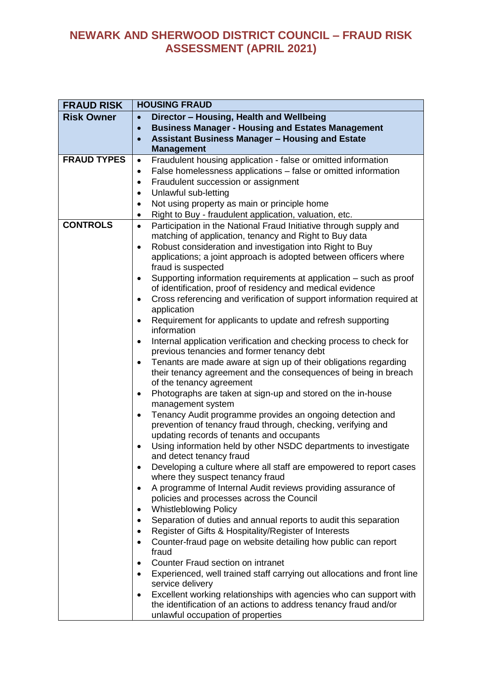| Director - Housing, Health and Wellbeing<br><b>Risk Owner</b><br>$\bullet$<br><b>Business Manager - Housing and Estates Management</b><br>$\bullet$<br><b>Assistant Business Manager - Housing and Estate</b><br>$\bullet$<br><b>Management</b><br><b>FRAUD TYPES</b><br>Fraudulent housing application - false or omitted information<br>$\bullet$<br>False homelessness applications – false or omitted information<br>$\bullet$<br>Fraudulent succession or assignment<br>$\bullet$<br>Unlawful sub-letting<br>$\bullet$<br>Not using property as main or principle home<br>$\bullet$<br>Right to Buy - fraudulent application, valuation, etc.<br>٠<br><b>CONTROLS</b><br>Participation in the National Fraud Initiative through supply and<br>$\bullet$<br>matching of application, tenancy and Right to Buy data<br>Robust consideration and investigation into Right to Buy<br>$\bullet$<br>applications; a joint approach is adopted between officers where<br>fraud is suspected<br>Supporting information requirements at application – such as proof<br>$\bullet$<br>of identification, proof of residency and medical evidence<br>Cross referencing and verification of support information required at<br>$\bullet$<br>application<br>Requirement for applicants to update and refresh supporting<br>$\bullet$<br>information<br>Internal application verification and checking process to check for<br>$\bullet$<br>previous tenancies and former tenancy debt<br>Tenants are made aware at sign up of their obligations regarding<br>$\bullet$ |
|---------------------------------------------------------------------------------------------------------------------------------------------------------------------------------------------------------------------------------------------------------------------------------------------------------------------------------------------------------------------------------------------------------------------------------------------------------------------------------------------------------------------------------------------------------------------------------------------------------------------------------------------------------------------------------------------------------------------------------------------------------------------------------------------------------------------------------------------------------------------------------------------------------------------------------------------------------------------------------------------------------------------------------------------------------------------------------------------------------------------------------------------------------------------------------------------------------------------------------------------------------------------------------------------------------------------------------------------------------------------------------------------------------------------------------------------------------------------------------------------------------------------------------------------------------------|
|                                                                                                                                                                                                                                                                                                                                                                                                                                                                                                                                                                                                                                                                                                                                                                                                                                                                                                                                                                                                                                                                                                                                                                                                                                                                                                                                                                                                                                                                                                                                                               |
|                                                                                                                                                                                                                                                                                                                                                                                                                                                                                                                                                                                                                                                                                                                                                                                                                                                                                                                                                                                                                                                                                                                                                                                                                                                                                                                                                                                                                                                                                                                                                               |
|                                                                                                                                                                                                                                                                                                                                                                                                                                                                                                                                                                                                                                                                                                                                                                                                                                                                                                                                                                                                                                                                                                                                                                                                                                                                                                                                                                                                                                                                                                                                                               |
|                                                                                                                                                                                                                                                                                                                                                                                                                                                                                                                                                                                                                                                                                                                                                                                                                                                                                                                                                                                                                                                                                                                                                                                                                                                                                                                                                                                                                                                                                                                                                               |
|                                                                                                                                                                                                                                                                                                                                                                                                                                                                                                                                                                                                                                                                                                                                                                                                                                                                                                                                                                                                                                                                                                                                                                                                                                                                                                                                                                                                                                                                                                                                                               |
|                                                                                                                                                                                                                                                                                                                                                                                                                                                                                                                                                                                                                                                                                                                                                                                                                                                                                                                                                                                                                                                                                                                                                                                                                                                                                                                                                                                                                                                                                                                                                               |
|                                                                                                                                                                                                                                                                                                                                                                                                                                                                                                                                                                                                                                                                                                                                                                                                                                                                                                                                                                                                                                                                                                                                                                                                                                                                                                                                                                                                                                                                                                                                                               |
|                                                                                                                                                                                                                                                                                                                                                                                                                                                                                                                                                                                                                                                                                                                                                                                                                                                                                                                                                                                                                                                                                                                                                                                                                                                                                                                                                                                                                                                                                                                                                               |
|                                                                                                                                                                                                                                                                                                                                                                                                                                                                                                                                                                                                                                                                                                                                                                                                                                                                                                                                                                                                                                                                                                                                                                                                                                                                                                                                                                                                                                                                                                                                                               |
|                                                                                                                                                                                                                                                                                                                                                                                                                                                                                                                                                                                                                                                                                                                                                                                                                                                                                                                                                                                                                                                                                                                                                                                                                                                                                                                                                                                                                                                                                                                                                               |
|                                                                                                                                                                                                                                                                                                                                                                                                                                                                                                                                                                                                                                                                                                                                                                                                                                                                                                                                                                                                                                                                                                                                                                                                                                                                                                                                                                                                                                                                                                                                                               |
|                                                                                                                                                                                                                                                                                                                                                                                                                                                                                                                                                                                                                                                                                                                                                                                                                                                                                                                                                                                                                                                                                                                                                                                                                                                                                                                                                                                                                                                                                                                                                               |
|                                                                                                                                                                                                                                                                                                                                                                                                                                                                                                                                                                                                                                                                                                                                                                                                                                                                                                                                                                                                                                                                                                                                                                                                                                                                                                                                                                                                                                                                                                                                                               |
|                                                                                                                                                                                                                                                                                                                                                                                                                                                                                                                                                                                                                                                                                                                                                                                                                                                                                                                                                                                                                                                                                                                                                                                                                                                                                                                                                                                                                                                                                                                                                               |
|                                                                                                                                                                                                                                                                                                                                                                                                                                                                                                                                                                                                                                                                                                                                                                                                                                                                                                                                                                                                                                                                                                                                                                                                                                                                                                                                                                                                                                                                                                                                                               |
|                                                                                                                                                                                                                                                                                                                                                                                                                                                                                                                                                                                                                                                                                                                                                                                                                                                                                                                                                                                                                                                                                                                                                                                                                                                                                                                                                                                                                                                                                                                                                               |
|                                                                                                                                                                                                                                                                                                                                                                                                                                                                                                                                                                                                                                                                                                                                                                                                                                                                                                                                                                                                                                                                                                                                                                                                                                                                                                                                                                                                                                                                                                                                                               |
|                                                                                                                                                                                                                                                                                                                                                                                                                                                                                                                                                                                                                                                                                                                                                                                                                                                                                                                                                                                                                                                                                                                                                                                                                                                                                                                                                                                                                                                                                                                                                               |
|                                                                                                                                                                                                                                                                                                                                                                                                                                                                                                                                                                                                                                                                                                                                                                                                                                                                                                                                                                                                                                                                                                                                                                                                                                                                                                                                                                                                                                                                                                                                                               |
|                                                                                                                                                                                                                                                                                                                                                                                                                                                                                                                                                                                                                                                                                                                                                                                                                                                                                                                                                                                                                                                                                                                                                                                                                                                                                                                                                                                                                                                                                                                                                               |
|                                                                                                                                                                                                                                                                                                                                                                                                                                                                                                                                                                                                                                                                                                                                                                                                                                                                                                                                                                                                                                                                                                                                                                                                                                                                                                                                                                                                                                                                                                                                                               |
|                                                                                                                                                                                                                                                                                                                                                                                                                                                                                                                                                                                                                                                                                                                                                                                                                                                                                                                                                                                                                                                                                                                                                                                                                                                                                                                                                                                                                                                                                                                                                               |
| their tenancy agreement and the consequences of being in breach                                                                                                                                                                                                                                                                                                                                                                                                                                                                                                                                                                                                                                                                                                                                                                                                                                                                                                                                                                                                                                                                                                                                                                                                                                                                                                                                                                                                                                                                                               |
| of the tenancy agreement                                                                                                                                                                                                                                                                                                                                                                                                                                                                                                                                                                                                                                                                                                                                                                                                                                                                                                                                                                                                                                                                                                                                                                                                                                                                                                                                                                                                                                                                                                                                      |
| Photographs are taken at sign-up and stored on the in-house<br>$\bullet$                                                                                                                                                                                                                                                                                                                                                                                                                                                                                                                                                                                                                                                                                                                                                                                                                                                                                                                                                                                                                                                                                                                                                                                                                                                                                                                                                                                                                                                                                      |
| management system                                                                                                                                                                                                                                                                                                                                                                                                                                                                                                                                                                                                                                                                                                                                                                                                                                                                                                                                                                                                                                                                                                                                                                                                                                                                                                                                                                                                                                                                                                                                             |
| Tenancy Audit programme provides an ongoing detection and<br>$\bullet$                                                                                                                                                                                                                                                                                                                                                                                                                                                                                                                                                                                                                                                                                                                                                                                                                                                                                                                                                                                                                                                                                                                                                                                                                                                                                                                                                                                                                                                                                        |
| prevention of tenancy fraud through, checking, verifying and                                                                                                                                                                                                                                                                                                                                                                                                                                                                                                                                                                                                                                                                                                                                                                                                                                                                                                                                                                                                                                                                                                                                                                                                                                                                                                                                                                                                                                                                                                  |
| updating records of tenants and occupants                                                                                                                                                                                                                                                                                                                                                                                                                                                                                                                                                                                                                                                                                                                                                                                                                                                                                                                                                                                                                                                                                                                                                                                                                                                                                                                                                                                                                                                                                                                     |
| Using information held by other NSDC departments to investigate<br>$\bullet$                                                                                                                                                                                                                                                                                                                                                                                                                                                                                                                                                                                                                                                                                                                                                                                                                                                                                                                                                                                                                                                                                                                                                                                                                                                                                                                                                                                                                                                                                  |
| and detect tenancy fraud<br>Developing a culture where all staff are empowered to report cases                                                                                                                                                                                                                                                                                                                                                                                                                                                                                                                                                                                                                                                                                                                                                                                                                                                                                                                                                                                                                                                                                                                                                                                                                                                                                                                                                                                                                                                                |
| $\bullet$<br>where they suspect tenancy fraud                                                                                                                                                                                                                                                                                                                                                                                                                                                                                                                                                                                                                                                                                                                                                                                                                                                                                                                                                                                                                                                                                                                                                                                                                                                                                                                                                                                                                                                                                                                 |
| A programme of Internal Audit reviews providing assurance of<br>$\bullet$                                                                                                                                                                                                                                                                                                                                                                                                                                                                                                                                                                                                                                                                                                                                                                                                                                                                                                                                                                                                                                                                                                                                                                                                                                                                                                                                                                                                                                                                                     |
| policies and processes across the Council                                                                                                                                                                                                                                                                                                                                                                                                                                                                                                                                                                                                                                                                                                                                                                                                                                                                                                                                                                                                                                                                                                                                                                                                                                                                                                                                                                                                                                                                                                                     |
| <b>Whistleblowing Policy</b><br>٠                                                                                                                                                                                                                                                                                                                                                                                                                                                                                                                                                                                                                                                                                                                                                                                                                                                                                                                                                                                                                                                                                                                                                                                                                                                                                                                                                                                                                                                                                                                             |
| Separation of duties and annual reports to audit this separation<br>٠                                                                                                                                                                                                                                                                                                                                                                                                                                                                                                                                                                                                                                                                                                                                                                                                                                                                                                                                                                                                                                                                                                                                                                                                                                                                                                                                                                                                                                                                                         |
| Register of Gifts & Hospitality/Register of Interests<br>$\bullet$                                                                                                                                                                                                                                                                                                                                                                                                                                                                                                                                                                                                                                                                                                                                                                                                                                                                                                                                                                                                                                                                                                                                                                                                                                                                                                                                                                                                                                                                                            |
| Counter-fraud page on website detailing how public can report<br>$\bullet$                                                                                                                                                                                                                                                                                                                                                                                                                                                                                                                                                                                                                                                                                                                                                                                                                                                                                                                                                                                                                                                                                                                                                                                                                                                                                                                                                                                                                                                                                    |
| fraud                                                                                                                                                                                                                                                                                                                                                                                                                                                                                                                                                                                                                                                                                                                                                                                                                                                                                                                                                                                                                                                                                                                                                                                                                                                                                                                                                                                                                                                                                                                                                         |
| Counter Fraud section on intranet<br>$\bullet$                                                                                                                                                                                                                                                                                                                                                                                                                                                                                                                                                                                                                                                                                                                                                                                                                                                                                                                                                                                                                                                                                                                                                                                                                                                                                                                                                                                                                                                                                                                |
| Experienced, well trained staff carrying out allocations and front line<br>$\bullet$                                                                                                                                                                                                                                                                                                                                                                                                                                                                                                                                                                                                                                                                                                                                                                                                                                                                                                                                                                                                                                                                                                                                                                                                                                                                                                                                                                                                                                                                          |
| service delivery                                                                                                                                                                                                                                                                                                                                                                                                                                                                                                                                                                                                                                                                                                                                                                                                                                                                                                                                                                                                                                                                                                                                                                                                                                                                                                                                                                                                                                                                                                                                              |
| Excellent working relationships with agencies who can support with<br>$\bullet$<br>the identification of an actions to address tenancy fraud and/or                                                                                                                                                                                                                                                                                                                                                                                                                                                                                                                                                                                                                                                                                                                                                                                                                                                                                                                                                                                                                                                                                                                                                                                                                                                                                                                                                                                                           |
| unlawful occupation of properties                                                                                                                                                                                                                                                                                                                                                                                                                                                                                                                                                                                                                                                                                                                                                                                                                                                                                                                                                                                                                                                                                                                                                                                                                                                                                                                                                                                                                                                                                                                             |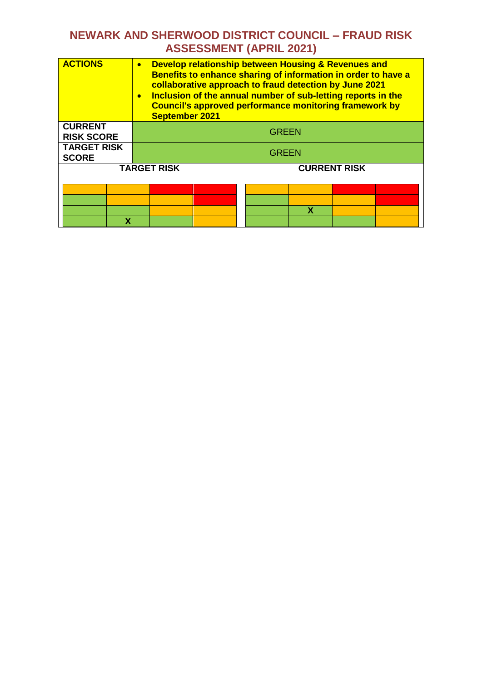| <b>ACTIONS</b>                      | $\bullet$<br>$\bullet$<br><b>September 2021</b> | Develop relationship between Housing & Revenues and<br>Benefits to enhance sharing of information in order to have a<br>collaborative approach to fraud detection by June 2021<br>Inclusion of the annual number of sub-letting reports in the<br><b>Council's approved performance monitoring framework by</b> |  |
|-------------------------------------|-------------------------------------------------|-----------------------------------------------------------------------------------------------------------------------------------------------------------------------------------------------------------------------------------------------------------------------------------------------------------------|--|
| <b>CURRENT</b><br><b>RISK SCORE</b> |                                                 | <b>GREEN</b>                                                                                                                                                                                                                                                                                                    |  |
| <b>TARGET RISK</b><br><b>SCORE</b>  | <b>GREEN</b>                                    |                                                                                                                                                                                                                                                                                                                 |  |
|                                     | <b>TARGET RISK</b>                              | <b>CURRENT RISK</b>                                                                                                                                                                                                                                                                                             |  |
|                                     |                                                 |                                                                                                                                                                                                                                                                                                                 |  |
|                                     |                                                 | x                                                                                                                                                                                                                                                                                                               |  |